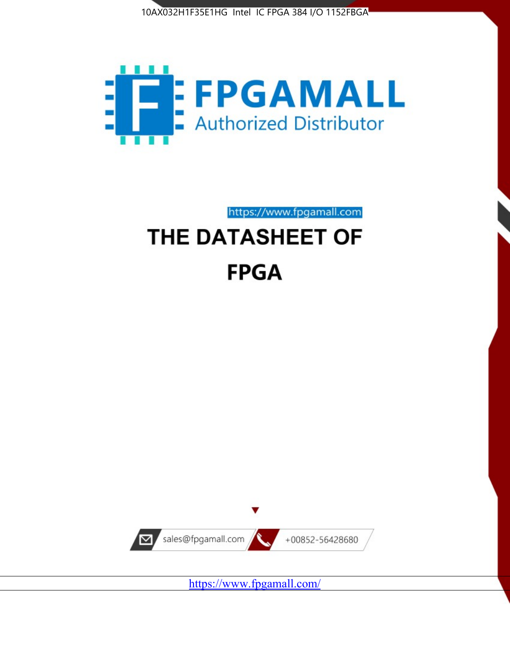



https://www.fpgamall.com THE DATASHEET OF

# **FPGA**



<https://www.fpgamall.com/>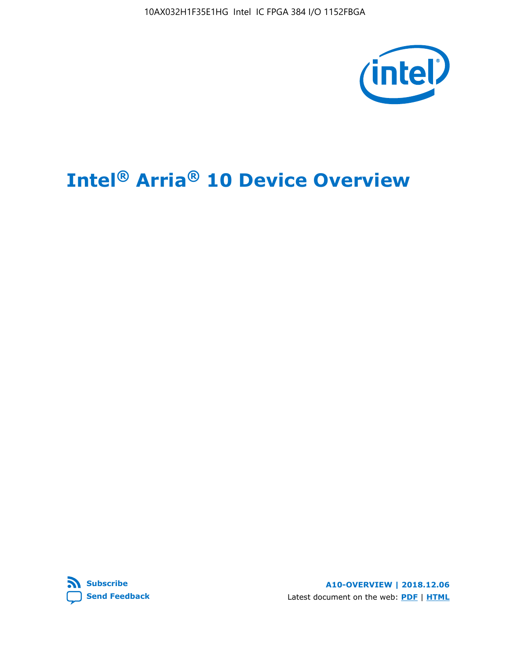10AX032H1F35E1HG Intel IC FPGA 384 I/O 1152FBGA



# **Intel® Arria® 10 Device Overview**



**A10-OVERVIEW | 2018.12.06** Latest document on the web: **[PDF](https://www.intel.com/content/dam/www/programmable/us/en/pdfs/literature/hb/arria-10/a10_overview.pdf)** | **[HTML](https://www.intel.com/content/www/us/en/programmable/documentation/sam1403480274650.html)**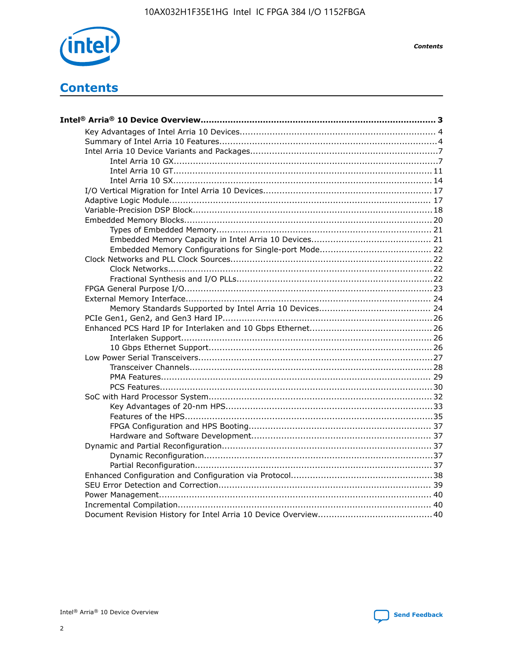

**Contents** 

# **Contents**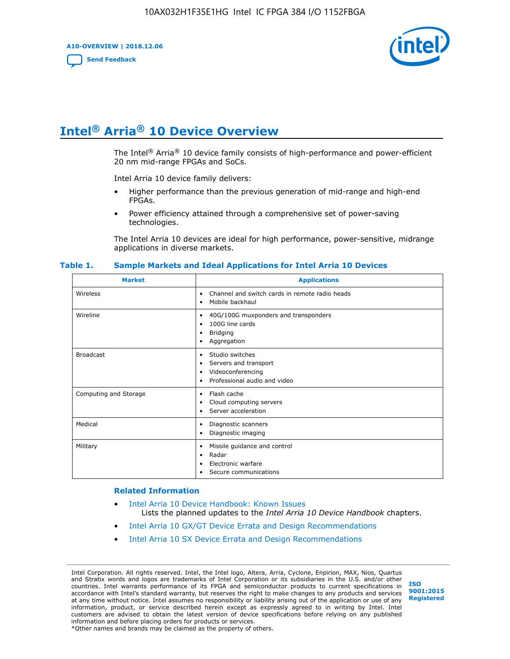**A10-OVERVIEW | 2018.12.06**

**[Send Feedback](mailto:FPGAtechdocfeedback@intel.com?subject=Feedback%20on%20Intel%20Arria%2010%20Device%20Overview%20(A10-OVERVIEW%202018.12.06)&body=We%20appreciate%20your%20feedback.%20In%20your%20comments,%20also%20specify%20the%20page%20number%20or%20paragraph.%20Thank%20you.)**



# **Intel® Arria® 10 Device Overview**

The Intel<sup>®</sup> Arria<sup>®</sup> 10 device family consists of high-performance and power-efficient 20 nm mid-range FPGAs and SoCs.

Intel Arria 10 device family delivers:

- Higher performance than the previous generation of mid-range and high-end FPGAs.
- Power efficiency attained through a comprehensive set of power-saving technologies.

The Intel Arria 10 devices are ideal for high performance, power-sensitive, midrange applications in diverse markets.

| <b>Market</b>         | <b>Applications</b>                                                                                               |
|-----------------------|-------------------------------------------------------------------------------------------------------------------|
| Wireless              | Channel and switch cards in remote radio heads<br>٠<br>Mobile backhaul<br>٠                                       |
| Wireline              | 40G/100G muxponders and transponders<br>٠<br>100G line cards<br>٠<br><b>Bridging</b><br>٠<br>Aggregation<br>٠     |
| <b>Broadcast</b>      | Studio switches<br>٠<br>Servers and transport<br>٠<br>Videoconferencing<br>٠<br>Professional audio and video<br>٠ |
| Computing and Storage | Flash cache<br>٠<br>Cloud computing servers<br>٠<br>Server acceleration<br>٠                                      |
| Medical               | Diagnostic scanners<br>٠<br>Diagnostic imaging<br>٠                                                               |
| Military              | Missile guidance and control<br>٠<br>Radar<br>٠<br>Electronic warfare<br>٠<br>Secure communications<br>٠          |

#### **Table 1. Sample Markets and Ideal Applications for Intel Arria 10 Devices**

#### **Related Information**

- [Intel Arria 10 Device Handbook: Known Issues](http://www.altera.com/support/kdb/solutions/rd07302013_646.html) Lists the planned updates to the *Intel Arria 10 Device Handbook* chapters.
- [Intel Arria 10 GX/GT Device Errata and Design Recommendations](https://www.intel.com/content/www/us/en/programmable/documentation/agz1493851706374.html#yqz1494433888646)
- [Intel Arria 10 SX Device Errata and Design Recommendations](https://www.intel.com/content/www/us/en/programmable/documentation/cru1462832385668.html#cru1462832558642)

Intel Corporation. All rights reserved. Intel, the Intel logo, Altera, Arria, Cyclone, Enpirion, MAX, Nios, Quartus and Stratix words and logos are trademarks of Intel Corporation or its subsidiaries in the U.S. and/or other countries. Intel warrants performance of its FPGA and semiconductor products to current specifications in accordance with Intel's standard warranty, but reserves the right to make changes to any products and services at any time without notice. Intel assumes no responsibility or liability arising out of the application or use of any information, product, or service described herein except as expressly agreed to in writing by Intel. Intel customers are advised to obtain the latest version of device specifications before relying on any published information and before placing orders for products or services. \*Other names and brands may be claimed as the property of others.

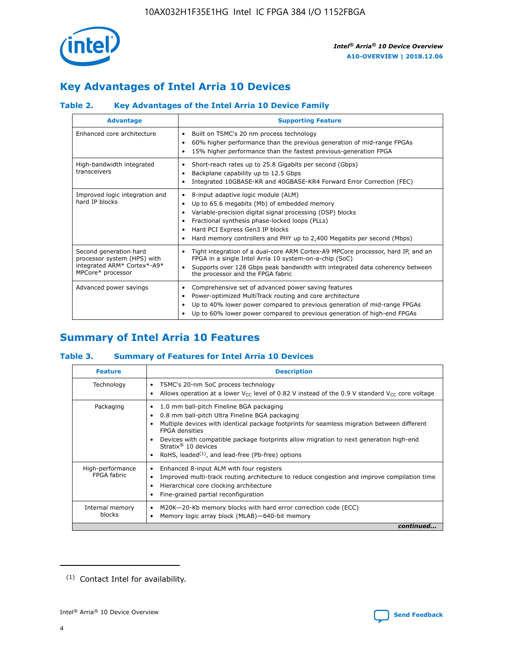

# **Key Advantages of Intel Arria 10 Devices**

# **Table 2. Key Advantages of the Intel Arria 10 Device Family**

| <b>Advantage</b>                                                                                          | <b>Supporting Feature</b>                                                                                                                                                                                                                                                                                                     |
|-----------------------------------------------------------------------------------------------------------|-------------------------------------------------------------------------------------------------------------------------------------------------------------------------------------------------------------------------------------------------------------------------------------------------------------------------------|
| Enhanced core architecture                                                                                | Built on TSMC's 20 nm process technology<br>٠<br>60% higher performance than the previous generation of mid-range FPGAs<br>٠<br>15% higher performance than the fastest previous-generation FPGA<br>٠                                                                                                                         |
| High-bandwidth integrated<br>transceivers                                                                 | Short-reach rates up to 25.8 Gigabits per second (Gbps)<br>٠<br>Backplane capability up to 12.5 Gbps<br>٠<br>Integrated 10GBASE-KR and 40GBASE-KR4 Forward Error Correction (FEC)<br>٠                                                                                                                                        |
| Improved logic integration and<br>hard IP blocks                                                          | 8-input adaptive logic module (ALM)<br>٠<br>Up to 65.6 megabits (Mb) of embedded memory<br>٠<br>Variable-precision digital signal processing (DSP) blocks<br>Fractional synthesis phase-locked loops (PLLs)<br>٠<br>Hard PCI Express Gen3 IP blocks<br>Hard memory controllers and PHY up to 2,400 Megabits per second (Mbps) |
| Second generation hard<br>processor system (HPS) with<br>integrated ARM* Cortex*-A9*<br>MPCore* processor | Tight integration of a dual-core ARM Cortex-A9 MPCore processor, hard IP, and an<br>٠<br>FPGA in a single Intel Arria 10 system-on-a-chip (SoC)<br>Supports over 128 Gbps peak bandwidth with integrated data coherency between<br>$\bullet$<br>the processor and the FPGA fabric                                             |
| Advanced power savings                                                                                    | Comprehensive set of advanced power saving features<br>٠<br>Power-optimized MultiTrack routing and core architecture<br>٠<br>Up to 40% lower power compared to previous generation of mid-range FPGAs<br>٠<br>Up to 60% lower power compared to previous generation of high-end FPGAs                                         |

# **Summary of Intel Arria 10 Features**

## **Table 3. Summary of Features for Intel Arria 10 Devices**

| <b>Feature</b>                  | <b>Description</b>                                                                                                                                                                                                                                                                                                                                                                                       |
|---------------------------------|----------------------------------------------------------------------------------------------------------------------------------------------------------------------------------------------------------------------------------------------------------------------------------------------------------------------------------------------------------------------------------------------------------|
| Technology                      | TSMC's 20-nm SoC process technology<br>٠<br>Allows operation at a lower $V_{\text{CC}}$ level of 0.82 V instead of the 0.9 V standard $V_{\text{CC}}$ core voltage                                                                                                                                                                                                                                       |
| Packaging                       | 1.0 mm ball-pitch Fineline BGA packaging<br>0.8 mm ball-pitch Ultra Fineline BGA packaging<br>Multiple devices with identical package footprints for seamless migration between different<br><b>FPGA</b> densities<br>Devices with compatible package footprints allow migration to next generation high-end<br>Stratix $\mathcal{R}$ 10 devices<br>RoHS, leaded $(1)$ , and lead-free (Pb-free) options |
| High-performance<br>FPGA fabric | Enhanced 8-input ALM with four registers<br>٠<br>Improved multi-track routing architecture to reduce congestion and improve compilation time<br>Hierarchical core clocking architecture<br>Fine-grained partial reconfiguration                                                                                                                                                                          |
| Internal memory<br>blocks       | M20K-20-Kb memory blocks with hard error correction code (ECC)<br>Memory logic array block (MLAB)-640-bit memory                                                                                                                                                                                                                                                                                         |
|                                 | continued                                                                                                                                                                                                                                                                                                                                                                                                |



<sup>(1)</sup> Contact Intel for availability.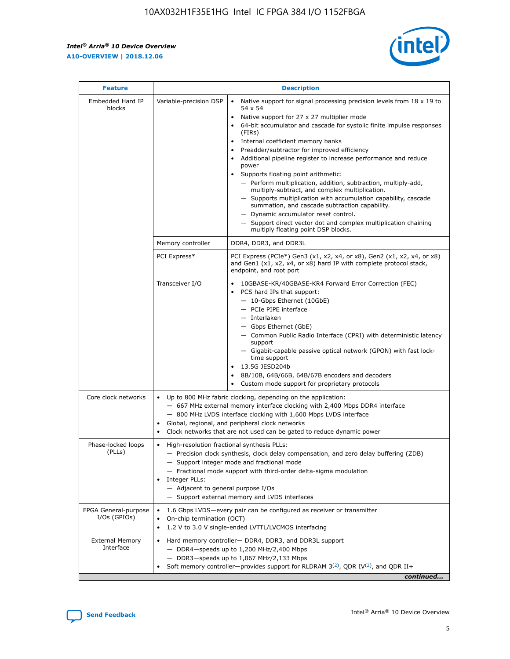r



| <b>Feature</b>                         |                                                                                                                                                                                                                                                                                                                          | <b>Description</b>                                                                                                                                                                                                                                                                                                                                                                                                                                                                                                                                                                                                                                                                                                                                                                                                                     |  |  |  |  |
|----------------------------------------|--------------------------------------------------------------------------------------------------------------------------------------------------------------------------------------------------------------------------------------------------------------------------------------------------------------------------|----------------------------------------------------------------------------------------------------------------------------------------------------------------------------------------------------------------------------------------------------------------------------------------------------------------------------------------------------------------------------------------------------------------------------------------------------------------------------------------------------------------------------------------------------------------------------------------------------------------------------------------------------------------------------------------------------------------------------------------------------------------------------------------------------------------------------------------|--|--|--|--|
| Embedded Hard IP<br>blocks             | Variable-precision DSP                                                                                                                                                                                                                                                                                                   | Native support for signal processing precision levels from $18 \times 19$ to<br>54 x 54<br>Native support for 27 x 27 multiplier mode<br>64-bit accumulator and cascade for systolic finite impulse responses<br>(FIRs)<br>Internal coefficient memory banks<br>$\bullet$<br>Preadder/subtractor for improved efficiency<br>Additional pipeline register to increase performance and reduce<br>power<br>Supports floating point arithmetic:<br>- Perform multiplication, addition, subtraction, multiply-add,<br>multiply-subtract, and complex multiplication.<br>- Supports multiplication with accumulation capability, cascade<br>summation, and cascade subtraction capability.<br>- Dynamic accumulator reset control.<br>- Support direct vector dot and complex multiplication chaining<br>multiply floating point DSP blocks. |  |  |  |  |
|                                        | Memory controller                                                                                                                                                                                                                                                                                                        | DDR4, DDR3, and DDR3L                                                                                                                                                                                                                                                                                                                                                                                                                                                                                                                                                                                                                                                                                                                                                                                                                  |  |  |  |  |
|                                        | PCI Express*                                                                                                                                                                                                                                                                                                             | PCI Express (PCIe*) Gen3 (x1, x2, x4, or x8), Gen2 (x1, x2, x4, or x8)<br>and Gen1 (x1, x2, x4, or x8) hard IP with complete protocol stack,<br>endpoint, and root port                                                                                                                                                                                                                                                                                                                                                                                                                                                                                                                                                                                                                                                                |  |  |  |  |
|                                        | Transceiver I/O                                                                                                                                                                                                                                                                                                          | 10GBASE-KR/40GBASE-KR4 Forward Error Correction (FEC)<br>PCS hard IPs that support:<br>$\bullet$<br>- 10-Gbps Ethernet (10GbE)<br>- PCIe PIPE interface<br>$-$ Interlaken<br>- Gbps Ethernet (GbE)<br>- Common Public Radio Interface (CPRI) with deterministic latency<br>support<br>- Gigabit-capable passive optical network (GPON) with fast lock-<br>time support<br>13.5G JESD204b<br>$\bullet$<br>8B/10B, 64B/66B, 64B/67B encoders and decoders<br>Custom mode support for proprietary protocols                                                                                                                                                                                                                                                                                                                               |  |  |  |  |
| Core clock networks                    | $\bullet$<br>$\bullet$                                                                                                                                                                                                                                                                                                   | Up to 800 MHz fabric clocking, depending on the application:<br>- 667 MHz external memory interface clocking with 2,400 Mbps DDR4 interface<br>- 800 MHz LVDS interface clocking with 1,600 Mbps LVDS interface<br>Global, regional, and peripheral clock networks<br>Clock networks that are not used can be gated to reduce dynamic power                                                                                                                                                                                                                                                                                                                                                                                                                                                                                            |  |  |  |  |
| Phase-locked loops<br>(PLLs)           | High-resolution fractional synthesis PLLs:<br>$\bullet$<br>Integer PLLs:<br>- Adjacent to general purpose I/Os                                                                                                                                                                                                           | - Precision clock synthesis, clock delay compensation, and zero delay buffering (ZDB)<br>- Support integer mode and fractional mode<br>- Fractional mode support with third-order delta-sigma modulation<br>- Support external memory and LVDS interfaces                                                                                                                                                                                                                                                                                                                                                                                                                                                                                                                                                                              |  |  |  |  |
| FPGA General-purpose<br>$I/Os$ (GPIOs) | On-chip termination (OCT)                                                                                                                                                                                                                                                                                                | 1.6 Gbps LVDS-every pair can be configured as receiver or transmitter                                                                                                                                                                                                                                                                                                                                                                                                                                                                                                                                                                                                                                                                                                                                                                  |  |  |  |  |
| <b>External Memory</b><br>Interface    | 1.2 V to 3.0 V single-ended LVTTL/LVCMOS interfacing<br>Hard memory controller- DDR4, DDR3, and DDR3L support<br>$-$ DDR4 $-$ speeds up to 1,200 MHz/2,400 Mbps<br>- DDR3-speeds up to 1,067 MHz/2,133 Mbps<br>Soft memory controller—provides support for RLDRAM $3^{(2)}$ , QDR IV $^{(2)}$ , and QDR II+<br>continued |                                                                                                                                                                                                                                                                                                                                                                                                                                                                                                                                                                                                                                                                                                                                                                                                                                        |  |  |  |  |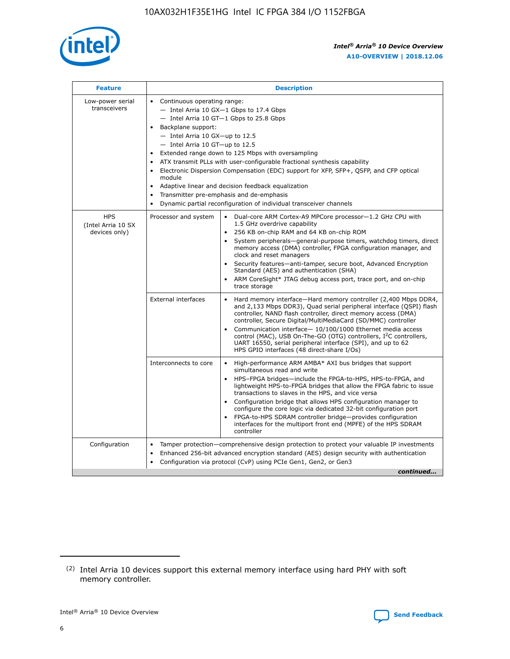

| <b>Feature</b>                                    | <b>Description</b>                                                                                                                                                                                                                                                                                                                                                                                                                                                                                                                                                                                                                                  |
|---------------------------------------------------|-----------------------------------------------------------------------------------------------------------------------------------------------------------------------------------------------------------------------------------------------------------------------------------------------------------------------------------------------------------------------------------------------------------------------------------------------------------------------------------------------------------------------------------------------------------------------------------------------------------------------------------------------------|
| Low-power serial<br>transceivers                  | • Continuous operating range:<br>- Intel Arria 10 GX-1 Gbps to 17.4 Gbps<br>- Intel Arria 10 GT-1 Gbps to 25.8 Gbps<br>Backplane support:<br>- Intel Arria 10 GX-up to 12.5<br>- Intel Arria 10 GT-up to 12.5<br>Extended range down to 125 Mbps with oversampling<br>ATX transmit PLLs with user-configurable fractional synthesis capability<br>Electronic Dispersion Compensation (EDC) support for XFP, SFP+, QSFP, and CFP optical<br>module<br>Adaptive linear and decision feedback equalization<br>$\bullet$<br>Transmitter pre-emphasis and de-emphasis<br>$\bullet$<br>Dynamic partial reconfiguration of individual transceiver channels |
| <b>HPS</b><br>(Intel Arria 10 SX<br>devices only) | Dual-core ARM Cortex-A9 MPCore processor-1.2 GHz CPU with<br>Processor and system<br>$\bullet$<br>1.5 GHz overdrive capability<br>256 KB on-chip RAM and 64 KB on-chip ROM<br>System peripherals—general-purpose timers, watchdog timers, direct<br>memory access (DMA) controller, FPGA configuration manager, and<br>clock and reset managers<br>Security features-anti-tamper, secure boot, Advanced Encryption<br>Standard (AES) and authentication (SHA)<br>ARM CoreSight* JTAG debug access port, trace port, and on-chip<br>trace storage                                                                                                    |
|                                                   | <b>External interfaces</b><br>Hard memory interface-Hard memory controller (2,400 Mbps DDR4,<br>$\bullet$<br>and 2,133 Mbps DDR3), Quad serial peripheral interface (QSPI) flash<br>controller, NAND flash controller, direct memory access (DMA)<br>controller, Secure Digital/MultiMediaCard (SD/MMC) controller<br>Communication interface-10/100/1000 Ethernet media access<br>control (MAC), USB On-The-GO (OTG) controllers, I <sup>2</sup> C controllers,<br>UART 16550, serial peripheral interface (SPI), and up to 62<br>HPS GPIO interfaces (48 direct-share I/Os)                                                                       |
|                                                   | High-performance ARM AMBA* AXI bus bridges that support<br>Interconnects to core<br>$\bullet$<br>simultaneous read and write<br>HPS-FPGA bridges-include the FPGA-to-HPS, HPS-to-FPGA, and<br>$\bullet$<br>lightweight HPS-to-FPGA bridges that allow the FPGA fabric to issue<br>transactions to slaves in the HPS, and vice versa<br>Configuration bridge that allows HPS configuration manager to<br>configure the core logic via dedicated 32-bit configuration port<br>FPGA-to-HPS SDRAM controller bridge-provides configuration<br>interfaces for the multiport front end (MPFE) of the HPS SDRAM<br>controller                              |
| Configuration                                     | Tamper protection—comprehensive design protection to protect your valuable IP investments<br>Enhanced 256-bit advanced encryption standard (AES) design security with authentication<br>٠<br>Configuration via protocol (CvP) using PCIe Gen1, Gen2, or Gen3<br>continued                                                                                                                                                                                                                                                                                                                                                                           |

<sup>(2)</sup> Intel Arria 10 devices support this external memory interface using hard PHY with soft memory controller.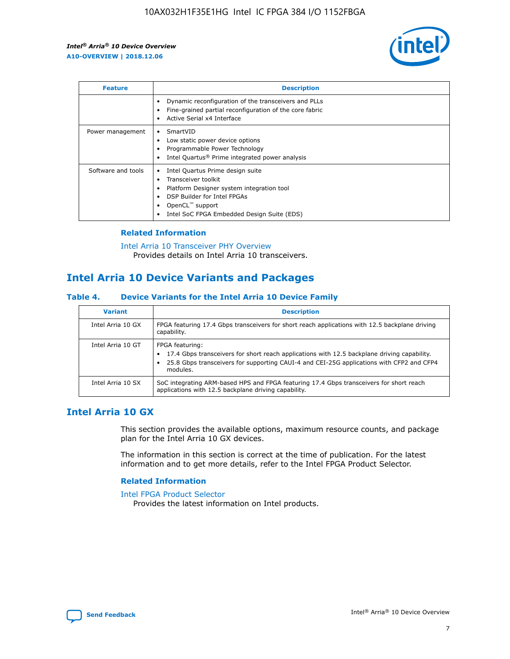

| <b>Feature</b>     | <b>Description</b>                                                                                                                                                                                               |
|--------------------|------------------------------------------------------------------------------------------------------------------------------------------------------------------------------------------------------------------|
|                    | Dynamic reconfiguration of the transceivers and PLLs<br>Fine-grained partial reconfiguration of the core fabric<br>Active Serial x4 Interface<br>$\bullet$                                                       |
| Power management   | SmartVID<br>Low static power device options<br>Programmable Power Technology<br>Intel Quartus <sup>®</sup> Prime integrated power analysis                                                                       |
| Software and tools | Intel Quartus Prime design suite<br>Transceiver toolkit<br>Platform Designer system integration tool<br>DSP Builder for Intel FPGAs<br>OpenCL <sup>™</sup> support<br>Intel SoC FPGA Embedded Design Suite (EDS) |

## **Related Information**

[Intel Arria 10 Transceiver PHY Overview](https://www.intel.com/content/www/us/en/programmable/documentation/nik1398707230472.html#nik1398706768037) Provides details on Intel Arria 10 transceivers.

# **Intel Arria 10 Device Variants and Packages**

#### **Table 4. Device Variants for the Intel Arria 10 Device Family**

| <b>Variant</b>    | <b>Description</b>                                                                                                                                                                                                     |
|-------------------|------------------------------------------------------------------------------------------------------------------------------------------------------------------------------------------------------------------------|
| Intel Arria 10 GX | FPGA featuring 17.4 Gbps transceivers for short reach applications with 12.5 backplane driving<br>capability.                                                                                                          |
| Intel Arria 10 GT | FPGA featuring:<br>17.4 Gbps transceivers for short reach applications with 12.5 backplane driving capability.<br>25.8 Gbps transceivers for supporting CAUI-4 and CEI-25G applications with CFP2 and CFP4<br>modules. |
| Intel Arria 10 SX | SoC integrating ARM-based HPS and FPGA featuring 17.4 Gbps transceivers for short reach<br>applications with 12.5 backplane driving capability.                                                                        |

# **Intel Arria 10 GX**

This section provides the available options, maximum resource counts, and package plan for the Intel Arria 10 GX devices.

The information in this section is correct at the time of publication. For the latest information and to get more details, refer to the Intel FPGA Product Selector.

#### **Related Information**

#### [Intel FPGA Product Selector](http://www.altera.com/products/selector/psg-selector.html) Provides the latest information on Intel products.

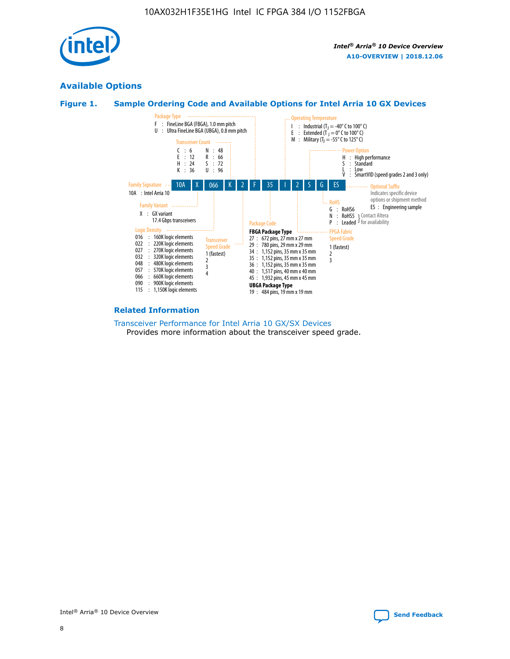

# **Available Options**





#### **Related Information**

[Transceiver Performance for Intel Arria 10 GX/SX Devices](https://www.intel.com/content/www/us/en/programmable/documentation/mcn1413182292568.html#mcn1413213965502) Provides more information about the transceiver speed grade.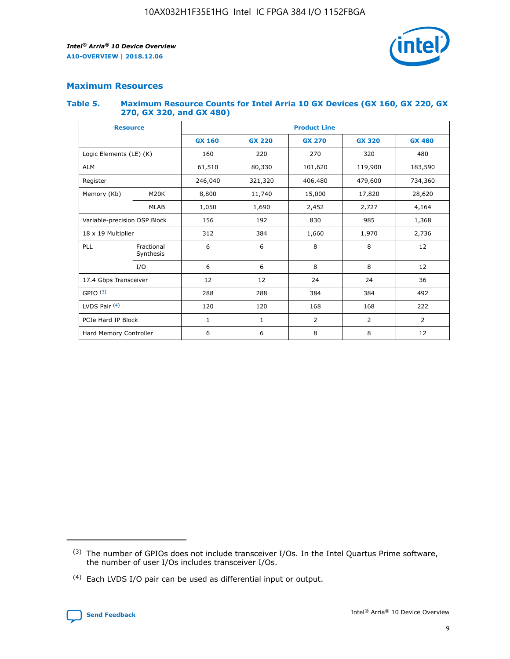

## **Maximum Resources**

#### **Table 5. Maximum Resource Counts for Intel Arria 10 GX Devices (GX 160, GX 220, GX 270, GX 320, and GX 480)**

| <b>Resource</b>              |                         | <b>Product Line</b> |                                                 |                  |                |                |  |  |  |
|------------------------------|-------------------------|---------------------|-------------------------------------------------|------------------|----------------|----------------|--|--|--|
|                              |                         | <b>GX 160</b>       | <b>GX 220</b><br><b>GX 270</b><br><b>GX 320</b> |                  |                | <b>GX 480</b>  |  |  |  |
| Logic Elements (LE) (K)      |                         | 160                 | 220                                             | 270              | 320            | 480            |  |  |  |
| <b>ALM</b>                   |                         | 61,510              | 80,330                                          | 101,620          | 119,900        | 183,590        |  |  |  |
| Register                     |                         | 246,040             | 406,480<br>479,600<br>321,320                   |                  |                | 734,360        |  |  |  |
| Memory (Kb)                  | M <sub>20</sub> K       | 8,800               | 11,740                                          | 15,000<br>17,820 |                | 28,620         |  |  |  |
|                              | <b>MLAB</b>             | 1,050               | 1,690<br>2,452<br>2,727                         |                  |                | 4,164          |  |  |  |
| Variable-precision DSP Block |                         | 156                 | 192                                             | 830              | 985            | 1,368          |  |  |  |
| 18 x 19 Multiplier           |                         | 312                 | 384                                             | 1,660            | 1,970          |                |  |  |  |
| PLL                          | Fractional<br>Synthesis | 6                   | 6                                               | 8                | 8              | 12             |  |  |  |
|                              | I/O                     | 6                   | 6                                               | 8                | 8              | 12             |  |  |  |
| 17.4 Gbps Transceiver        |                         | 12                  | 12                                              | 24               | 24             | 36             |  |  |  |
| GPIO <sup>(3)</sup>          |                         | 288                 | 288                                             | 384              | 384            | 492            |  |  |  |
| LVDS Pair $(4)$              |                         | 120                 | 120                                             | 168              | 168            | 222            |  |  |  |
| PCIe Hard IP Block           |                         | 1                   | 1                                               | 2                | $\overline{2}$ | $\overline{2}$ |  |  |  |
| Hard Memory Controller       |                         | 6                   | 6                                               | 8                | 8              | 12             |  |  |  |

<sup>(4)</sup> Each LVDS I/O pair can be used as differential input or output.



<sup>(3)</sup> The number of GPIOs does not include transceiver I/Os. In the Intel Quartus Prime software, the number of user I/Os includes transceiver I/Os.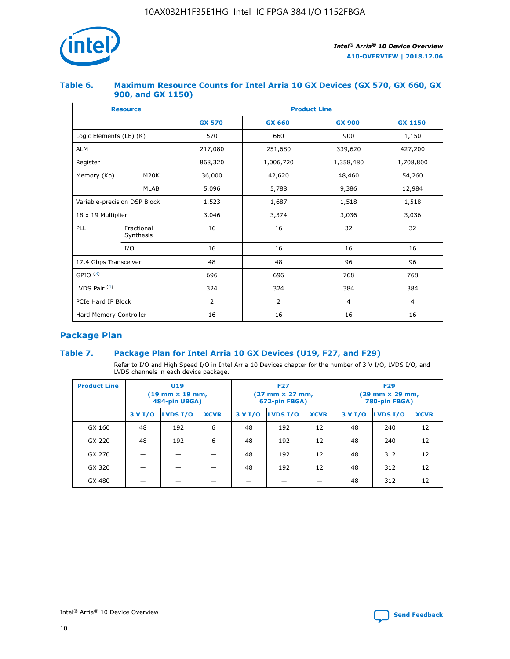

### **Table 6. Maximum Resource Counts for Intel Arria 10 GX Devices (GX 570, GX 660, GX 900, and GX 1150)**

|                              | <b>Resource</b>         | <b>Product Line</b> |                |                |                |  |  |  |
|------------------------------|-------------------------|---------------------|----------------|----------------|----------------|--|--|--|
|                              |                         | <b>GX 570</b>       | <b>GX 660</b>  | <b>GX 900</b>  | <b>GX 1150</b> |  |  |  |
| Logic Elements (LE) (K)      |                         | 570                 | 660            | 900            | 1,150          |  |  |  |
| <b>ALM</b>                   |                         | 217,080             | 251,680        | 339,620        | 427,200        |  |  |  |
| Register                     |                         | 868,320             | 1,006,720      | 1,358,480      | 1,708,800      |  |  |  |
| Memory (Kb)                  | <b>M20K</b>             | 36,000              | 42,620         | 48,460         | 54,260         |  |  |  |
|                              | <b>MLAB</b>             | 5,096               | 5,788          | 9,386          | 12,984         |  |  |  |
| Variable-precision DSP Block |                         | 1,523               | 1,687          | 1,518          | 1,518          |  |  |  |
|                              | 18 x 19 Multiplier      |                     | 3,374          | 3,036          | 3,036          |  |  |  |
| PLL                          | Fractional<br>Synthesis | 16                  | 16             | 32             | 32             |  |  |  |
|                              | I/O                     | 16                  | 16             | 16             | 16             |  |  |  |
| 17.4 Gbps Transceiver        |                         | 48                  | 48<br>96       |                | 96             |  |  |  |
| GPIO <sup>(3)</sup>          |                         | 696                 | 696            | 768            | 768            |  |  |  |
| LVDS Pair $(4)$              |                         | 324                 | 324            | 384            | 384            |  |  |  |
| PCIe Hard IP Block           |                         | 2                   | $\overline{2}$ | $\overline{4}$ | $\overline{4}$ |  |  |  |
| Hard Memory Controller       |                         | 16                  | 16             | 16             | 16             |  |  |  |

# **Package Plan**

## **Table 7. Package Plan for Intel Arria 10 GX Devices (U19, F27, and F29)**

Refer to I/O and High Speed I/O in Intel Arria 10 Devices chapter for the number of 3 V I/O, LVDS I/O, and LVDS channels in each device package.

| <b>Product Line</b> | U <sub>19</sub><br>$(19 \text{ mm} \times 19 \text{ mm})$<br>484-pin UBGA) |          |             |         | <b>F27</b><br>(27 mm × 27 mm,<br>672-pin FBGA) |             | <b>F29</b><br>(29 mm × 29 mm,<br>780-pin FBGA) |          |             |  |
|---------------------|----------------------------------------------------------------------------|----------|-------------|---------|------------------------------------------------|-------------|------------------------------------------------|----------|-------------|--|
|                     | 3 V I/O                                                                    | LVDS I/O | <b>XCVR</b> | 3 V I/O | <b>LVDS I/O</b>                                | <b>XCVR</b> | 3 V I/O                                        | LVDS I/O | <b>XCVR</b> |  |
| GX 160              | 48                                                                         | 192      | 6           | 48      | 192                                            | 12          | 48                                             | 240      | 12          |  |
| GX 220              | 48                                                                         | 192      | 6           | 48      | 192                                            | 12          | 48                                             | 240      | 12          |  |
| GX 270              |                                                                            |          |             | 48      | 192                                            | 12          | 48                                             | 312      | 12          |  |
| GX 320              |                                                                            |          |             | 48      | 192                                            | 12          | 48                                             | 312      | 12          |  |
| GX 480              |                                                                            |          |             |         |                                                |             | 48                                             | 312      | 12          |  |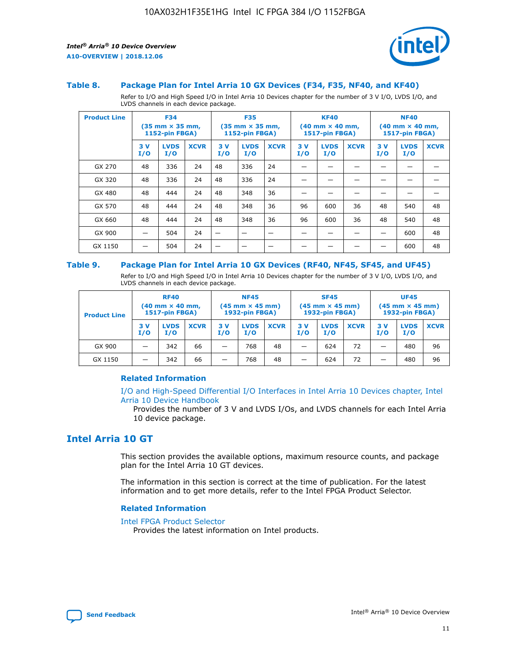

#### **Table 8. Package Plan for Intel Arria 10 GX Devices (F34, F35, NF40, and KF40)**

Refer to I/O and High Speed I/O in Intel Arria 10 Devices chapter for the number of 3 V I/O, LVDS I/O, and LVDS channels in each device package.

| <b>Product Line</b> | <b>F34</b><br>$(35 \text{ mm} \times 35 \text{ mm})$<br><b>1152-pin FBGA)</b> |                    | <b>F35</b><br>$(35 \text{ mm} \times 35 \text{ mm})$<br>1152-pin FBGA) |           | <b>KF40</b><br>$(40$ mm $\times$ 40 mm,<br><b>1517-pin FBGA)</b> |             |           | <b>NF40</b><br>$(40 \text{ mm} \times 40 \text{ mm})$<br>1517-pin FBGA) |             |           |                    |             |
|---------------------|-------------------------------------------------------------------------------|--------------------|------------------------------------------------------------------------|-----------|------------------------------------------------------------------|-------------|-----------|-------------------------------------------------------------------------|-------------|-----------|--------------------|-------------|
|                     | 3V<br>I/O                                                                     | <b>LVDS</b><br>I/O | <b>XCVR</b>                                                            | 3V<br>I/O | <b>LVDS</b><br>I/O                                               | <b>XCVR</b> | 3V<br>I/O | <b>LVDS</b><br>I/O                                                      | <b>XCVR</b> | 3V<br>I/O | <b>LVDS</b><br>I/O | <b>XCVR</b> |
| GX 270              | 48                                                                            | 336                | 24                                                                     | 48        | 336                                                              | 24          |           |                                                                         |             |           |                    |             |
| GX 320              | 48                                                                            | 336                | 24                                                                     | 48        | 336                                                              | 24          |           |                                                                         |             |           |                    |             |
| GX 480              | 48                                                                            | 444                | 24                                                                     | 48        | 348                                                              | 36          |           |                                                                         |             |           |                    |             |
| GX 570              | 48                                                                            | 444                | 24                                                                     | 48        | 348                                                              | 36          | 96        | 600                                                                     | 36          | 48        | 540                | 48          |
| GX 660              | 48                                                                            | 444                | 24                                                                     | 48        | 348                                                              | 36          | 96        | 600                                                                     | 36          | 48        | 540                | 48          |
| GX 900              |                                                                               | 504                | 24                                                                     | —         |                                                                  | -           |           |                                                                         |             |           | 600                | 48          |
| GX 1150             |                                                                               | 504                | 24                                                                     |           |                                                                  |             |           |                                                                         |             |           | 600                | 48          |

#### **Table 9. Package Plan for Intel Arria 10 GX Devices (RF40, NF45, SF45, and UF45)**

Refer to I/O and High Speed I/O in Intel Arria 10 Devices chapter for the number of 3 V I/O, LVDS I/O, and LVDS channels in each device package.

| <b>Product Line</b> | <b>RF40</b><br>$(40$ mm $\times$ 40 mm,<br>1517-pin FBGA) |                    |             | <b>NF45</b><br>$(45 \text{ mm} \times 45 \text{ mm})$<br><b>1932-pin FBGA)</b> |                    |             | <b>SF45</b><br>$(45 \text{ mm} \times 45 \text{ mm})$<br><b>1932-pin FBGA)</b> |                    |             | <b>UF45</b><br>$(45 \text{ mm} \times 45 \text{ mm})$<br><b>1932-pin FBGA)</b> |                    |             |
|---------------------|-----------------------------------------------------------|--------------------|-------------|--------------------------------------------------------------------------------|--------------------|-------------|--------------------------------------------------------------------------------|--------------------|-------------|--------------------------------------------------------------------------------|--------------------|-------------|
|                     | 3V<br>I/O                                                 | <b>LVDS</b><br>I/O | <b>XCVR</b> | 3 V<br>I/O                                                                     | <b>LVDS</b><br>I/O | <b>XCVR</b> | 3 V<br>I/O                                                                     | <b>LVDS</b><br>I/O | <b>XCVR</b> | 3V<br>I/O                                                                      | <b>LVDS</b><br>I/O | <b>XCVR</b> |
| GX 900              |                                                           | 342                | 66          | _                                                                              | 768                | 48          |                                                                                | 624                | 72          |                                                                                | 480                | 96          |
| GX 1150             |                                                           | 342                | 66          | _                                                                              | 768                | 48          |                                                                                | 624                | 72          |                                                                                | 480                | 96          |

#### **Related Information**

[I/O and High-Speed Differential I/O Interfaces in Intel Arria 10 Devices chapter, Intel](https://www.intel.com/content/www/us/en/programmable/documentation/sam1403482614086.html#sam1403482030321) [Arria 10 Device Handbook](https://www.intel.com/content/www/us/en/programmable/documentation/sam1403482614086.html#sam1403482030321)

Provides the number of 3 V and LVDS I/Os, and LVDS channels for each Intel Arria 10 device package.

# **Intel Arria 10 GT**

This section provides the available options, maximum resource counts, and package plan for the Intel Arria 10 GT devices.

The information in this section is correct at the time of publication. For the latest information and to get more details, refer to the Intel FPGA Product Selector.

#### **Related Information**

#### [Intel FPGA Product Selector](http://www.altera.com/products/selector/psg-selector.html)

Provides the latest information on Intel products.

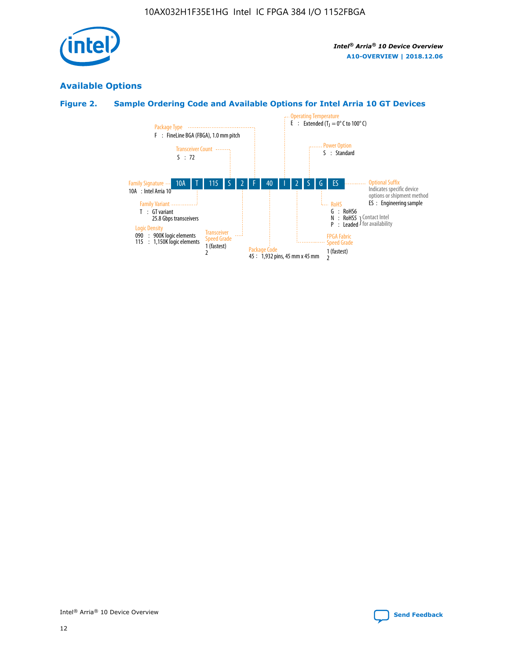

# **Available Options**

# **Figure 2. Sample Ordering Code and Available Options for Intel Arria 10 GT Devices**

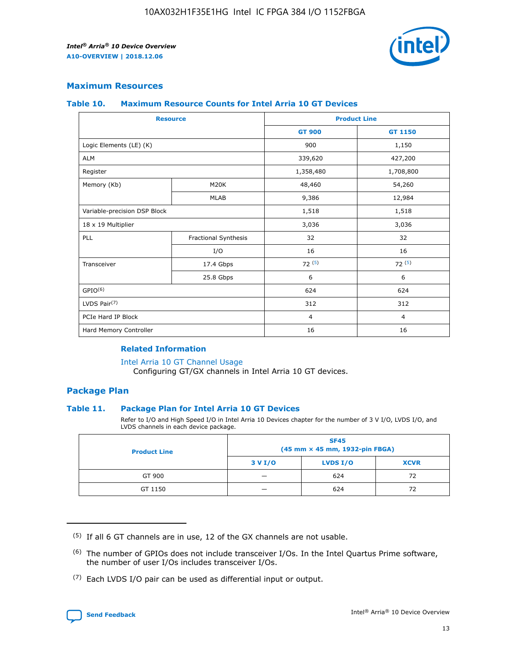

## **Maximum Resources**

#### **Table 10. Maximum Resource Counts for Intel Arria 10 GT Devices**

|                              | <b>Resource</b>      | <b>Product Line</b> |                |  |
|------------------------------|----------------------|---------------------|----------------|--|
|                              |                      | <b>GT 900</b>       | GT 1150        |  |
| Logic Elements (LE) (K)      |                      | 900                 | 1,150          |  |
| <b>ALM</b>                   |                      | 339,620             | 427,200        |  |
| Register                     |                      | 1,358,480           | 1,708,800      |  |
| Memory (Kb)                  | M20K                 | 48,460              | 54,260         |  |
|                              | <b>MLAB</b>          | 9,386               | 12,984         |  |
| Variable-precision DSP Block |                      | 1,518               | 1,518          |  |
| 18 x 19 Multiplier           |                      | 3,036               | 3,036          |  |
| <b>PLL</b>                   | Fractional Synthesis | 32                  | 32             |  |
|                              | I/O                  | 16                  | 16             |  |
| Transceiver                  | 17.4 Gbps            | 72(5)               | 72(5)          |  |
|                              | 25.8 Gbps            | 6                   | 6              |  |
| GPIO <sup>(6)</sup>          |                      | 624                 | 624            |  |
| LVDS Pair $(7)$              |                      | 312                 | 312            |  |
| PCIe Hard IP Block           |                      | $\overline{4}$      | $\overline{4}$ |  |
| Hard Memory Controller       |                      | 16                  | 16             |  |

#### **Related Information**

#### [Intel Arria 10 GT Channel Usage](https://www.intel.com/content/www/us/en/programmable/documentation/nik1398707230472.html#nik1398707008178)

Configuring GT/GX channels in Intel Arria 10 GT devices.

## **Package Plan**

#### **Table 11. Package Plan for Intel Arria 10 GT Devices**

Refer to I/O and High Speed I/O in Intel Arria 10 Devices chapter for the number of 3 V I/O, LVDS I/O, and LVDS channels in each device package.

| <b>Product Line</b> | <b>SF45</b><br>(45 mm × 45 mm, 1932-pin FBGA) |                 |             |  |  |  |
|---------------------|-----------------------------------------------|-----------------|-------------|--|--|--|
|                     | 3 V I/O                                       | <b>LVDS I/O</b> | <b>XCVR</b> |  |  |  |
| GT 900              |                                               | 624             | 72          |  |  |  |
| GT 1150             |                                               | 624             | 72          |  |  |  |

<sup>(7)</sup> Each LVDS I/O pair can be used as differential input or output.



 $(5)$  If all 6 GT channels are in use, 12 of the GX channels are not usable.

<sup>(6)</sup> The number of GPIOs does not include transceiver I/Os. In the Intel Quartus Prime software, the number of user I/Os includes transceiver I/Os.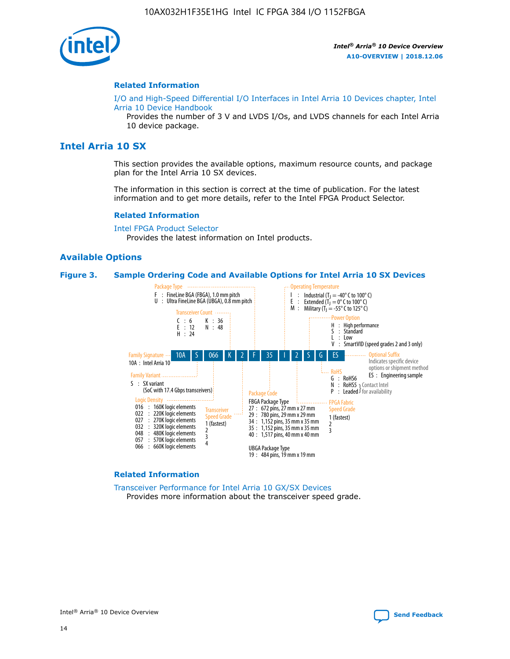

#### **Related Information**

[I/O and High-Speed Differential I/O Interfaces in Intel Arria 10 Devices chapter, Intel](https://www.intel.com/content/www/us/en/programmable/documentation/sam1403482614086.html#sam1403482030321) [Arria 10 Device Handbook](https://www.intel.com/content/www/us/en/programmable/documentation/sam1403482614086.html#sam1403482030321)

Provides the number of 3 V and LVDS I/Os, and LVDS channels for each Intel Arria 10 device package.

# **Intel Arria 10 SX**

This section provides the available options, maximum resource counts, and package plan for the Intel Arria 10 SX devices.

The information in this section is correct at the time of publication. For the latest information and to get more details, refer to the Intel FPGA Product Selector.

#### **Related Information**

[Intel FPGA Product Selector](http://www.altera.com/products/selector/psg-selector.html) Provides the latest information on Intel products.

#### **Available Options**

#### **Figure 3. Sample Ordering Code and Available Options for Intel Arria 10 SX Devices**



#### **Related Information**

[Transceiver Performance for Intel Arria 10 GX/SX Devices](https://www.intel.com/content/www/us/en/programmable/documentation/mcn1413182292568.html#mcn1413213965502) Provides more information about the transceiver speed grade.

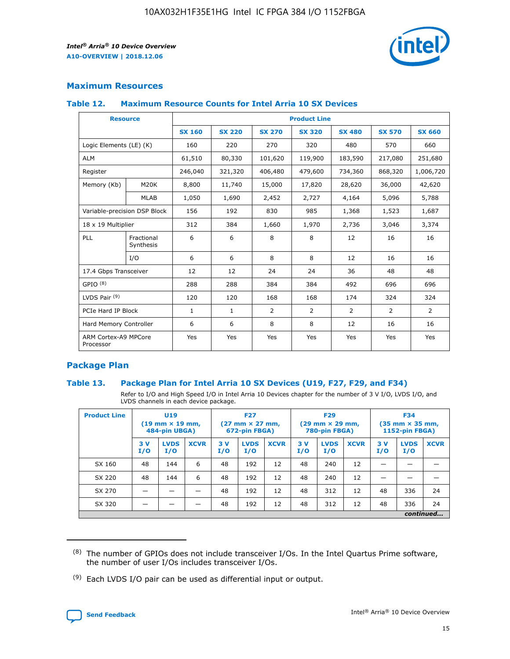

## **Maximum Resources**

#### **Table 12. Maximum Resource Counts for Intel Arria 10 SX Devices**

|                                   | <b>Resource</b>         | <b>Product Line</b> |               |                |                |                |                |                |  |  |  |
|-----------------------------------|-------------------------|---------------------|---------------|----------------|----------------|----------------|----------------|----------------|--|--|--|
|                                   |                         | <b>SX 160</b>       | <b>SX 220</b> | <b>SX 270</b>  | <b>SX 320</b>  | <b>SX 480</b>  | <b>SX 570</b>  | <b>SX 660</b>  |  |  |  |
| Logic Elements (LE) (K)           |                         | 160                 | 220           | 270            | 320            | 480            | 570            | 660            |  |  |  |
| <b>ALM</b>                        |                         | 61,510              | 80,330        | 101,620        | 119,900        | 183,590        | 217,080        | 251,680        |  |  |  |
| Register                          |                         | 246,040             | 321,320       | 406,480        | 479,600        | 734,360        | 868,320        | 1,006,720      |  |  |  |
| Memory (Kb)                       | M <sub>20</sub> K       | 8,800               | 11,740        | 15,000         | 17,820         | 28,620         | 36,000         | 42,620         |  |  |  |
|                                   | <b>MLAB</b>             | 1,050               | 1,690         | 2,452          | 2,727          | 4,164          | 5,096          | 5,788          |  |  |  |
| Variable-precision DSP Block      |                         | 156                 | 192           | 830            | 985            | 1,368          | 1,523          | 1,687          |  |  |  |
| 18 x 19 Multiplier                |                         | 312                 | 384           | 1,660          | 1,970          | 2,736          | 3,046          | 3,374          |  |  |  |
| <b>PLL</b>                        | Fractional<br>Synthesis | 6                   | 6             | 8              | 8              | 12             | 16             | 16             |  |  |  |
|                                   | I/O                     | 6                   | 6             | 8              | 8              | 12             | 16             | 16             |  |  |  |
| 17.4 Gbps Transceiver             |                         | 12                  | 12            | 24             | 24             | 36             | 48             | 48             |  |  |  |
| GPIO <sup>(8)</sup>               |                         | 288                 | 288           | 384            | 384            | 492            | 696            | 696            |  |  |  |
| LVDS Pair $(9)$                   |                         | 120                 | 120           | 168            | 168            | 174            | 324            | 324            |  |  |  |
| PCIe Hard IP Block                |                         | $\mathbf{1}$        | $\mathbf{1}$  | $\overline{2}$ | $\overline{2}$ | $\overline{2}$ | $\overline{2}$ | $\overline{2}$ |  |  |  |
| Hard Memory Controller            |                         | 6                   | 6             | 8              | 8              | 12             | 16             | 16             |  |  |  |
| ARM Cortex-A9 MPCore<br>Processor |                         | Yes                 | Yes           | Yes            | Yes            | Yes            | Yes            | Yes            |  |  |  |

## **Package Plan**

#### **Table 13. Package Plan for Intel Arria 10 SX Devices (U19, F27, F29, and F34)**

Refer to I/O and High Speed I/O in Intel Arria 10 Devices chapter for the number of 3 V I/O, LVDS I/O, and LVDS channels in each device package.

| <b>Product Line</b> | <b>U19</b><br>$(19 \text{ mm} \times 19 \text{ mm})$<br>484-pin UBGA) |                    |             | <b>F27</b><br>$(27 \text{ mm} \times 27 \text{ mm})$<br>672-pin FBGA) |                    | <b>F29</b><br>$(29 \text{ mm} \times 29 \text{ mm})$<br>780-pin FBGA) |           |                    | <b>F34</b><br>$(35 \text{ mm} \times 35 \text{ mm})$<br><b>1152-pin FBGA)</b> |           |                    |             |
|---------------------|-----------------------------------------------------------------------|--------------------|-------------|-----------------------------------------------------------------------|--------------------|-----------------------------------------------------------------------|-----------|--------------------|-------------------------------------------------------------------------------|-----------|--------------------|-------------|
|                     | 3V<br>I/O                                                             | <b>LVDS</b><br>I/O | <b>XCVR</b> | 3V<br>I/O                                                             | <b>LVDS</b><br>I/O | <b>XCVR</b>                                                           | 3V<br>I/O | <b>LVDS</b><br>I/O | <b>XCVR</b>                                                                   | 3V<br>I/O | <b>LVDS</b><br>I/O | <b>XCVR</b> |
| SX 160              | 48                                                                    | 144                | 6           | 48                                                                    | 192                | 12                                                                    | 48        | 240                | 12                                                                            | -         |                    |             |
| SX 220              | 48                                                                    | 144                | 6           | 48                                                                    | 192                | 12                                                                    | 48        | 240                | 12                                                                            |           |                    |             |
| SX 270              |                                                                       |                    |             | 48                                                                    | 192                | 12                                                                    | 48        | 312                | 12                                                                            | 48        | 336                | 24          |
| SX 320              |                                                                       |                    |             | 48                                                                    | 192                | 12                                                                    | 48        | 312                | 12                                                                            | 48        | 336                | 24          |
|                     | continued                                                             |                    |             |                                                                       |                    |                                                                       |           |                    |                                                                               |           |                    |             |

 $(8)$  The number of GPIOs does not include transceiver I/Os. In the Intel Quartus Prime software, the number of user I/Os includes transceiver I/Os.

 $(9)$  Each LVDS I/O pair can be used as differential input or output.

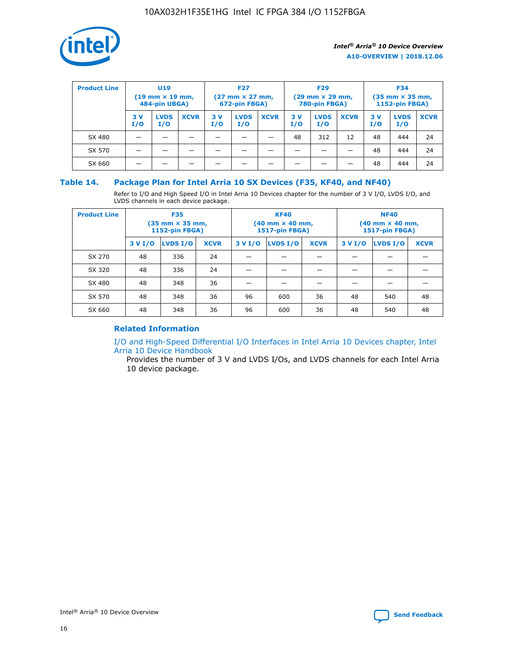

| <b>Product Line</b> | U <sub>19</sub><br>$(19 \text{ mm} \times 19 \text{ mm})$<br>484-pin UBGA) |                    | <b>F27</b><br>$(27 \text{ mm} \times 27 \text{ mm})$<br>672-pin FBGA) |           | <b>F29</b><br>$(29$ mm $\times$ 29 mm,<br>780-pin FBGA) |             |           | <b>F34</b><br>$(35$ mm $\times$ 35 mm,<br><b>1152-pin FBGA)</b> |             |            |                    |             |
|---------------------|----------------------------------------------------------------------------|--------------------|-----------------------------------------------------------------------|-----------|---------------------------------------------------------|-------------|-----------|-----------------------------------------------------------------|-------------|------------|--------------------|-------------|
|                     | 3 V<br>I/O                                                                 | <b>LVDS</b><br>I/O | <b>XCVR</b>                                                           | 3V<br>I/O | <b>LVDS</b><br>I/O                                      | <b>XCVR</b> | 3V<br>I/O | <b>LVDS</b><br>I/O                                              | <b>XCVR</b> | 3 V<br>I/O | <b>LVDS</b><br>I/O | <b>XCVR</b> |
| SX 480              |                                                                            |                    |                                                                       |           |                                                         |             | 48        | 312                                                             | 12          | 48         | 444                | 24          |
| SX 570              |                                                                            |                    |                                                                       |           |                                                         |             |           |                                                                 |             | 48         | 444                | 24          |
| SX 660              |                                                                            |                    |                                                                       |           |                                                         |             |           |                                                                 |             | 48         | 444                | 24          |

### **Table 14. Package Plan for Intel Arria 10 SX Devices (F35, KF40, and NF40)**

Refer to I/O and High Speed I/O in Intel Arria 10 Devices chapter for the number of 3 V I/O, LVDS I/O, and LVDS channels in each device package.

| <b>Product Line</b> | <b>F35</b><br>(35 mm × 35 mm,<br><b>1152-pin FBGA)</b> |          |             |                                           | <b>KF40</b><br>(40 mm × 40 mm,<br>1517-pin FBGA) |    | <b>NF40</b><br>$(40 \text{ mm} \times 40 \text{ mm})$<br>1517-pin FBGA) |          |             |  |
|---------------------|--------------------------------------------------------|----------|-------------|-------------------------------------------|--------------------------------------------------|----|-------------------------------------------------------------------------|----------|-------------|--|
|                     | 3 V I/O                                                | LVDS I/O | <b>XCVR</b> | <b>LVDS I/O</b><br>3 V I/O<br><b>XCVR</b> |                                                  |    | 3 V I/O                                                                 | LVDS I/O | <b>XCVR</b> |  |
| SX 270              | 48                                                     | 336      | 24          |                                           |                                                  |    |                                                                         |          |             |  |
| SX 320              | 48                                                     | 336      | 24          |                                           |                                                  |    |                                                                         |          |             |  |
| SX 480              | 48                                                     | 348      | 36          |                                           |                                                  |    |                                                                         |          |             |  |
| SX 570              | 48                                                     | 348      | 36          | 96                                        | 600                                              | 36 | 48                                                                      | 540      | 48          |  |
| SX 660              | 48                                                     | 348      | 36          | 96                                        | 600                                              | 36 | 48                                                                      | 540      | 48          |  |

# **Related Information**

[I/O and High-Speed Differential I/O Interfaces in Intel Arria 10 Devices chapter, Intel](https://www.intel.com/content/www/us/en/programmable/documentation/sam1403482614086.html#sam1403482030321) [Arria 10 Device Handbook](https://www.intel.com/content/www/us/en/programmable/documentation/sam1403482614086.html#sam1403482030321)

Provides the number of 3 V and LVDS I/Os, and LVDS channels for each Intel Arria 10 device package.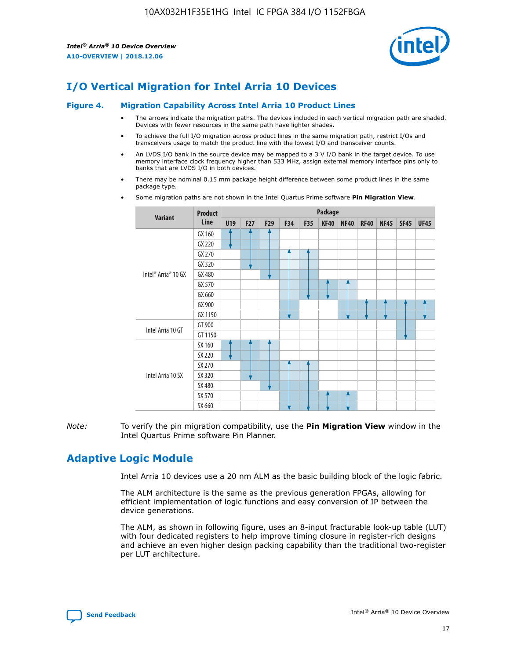

# **I/O Vertical Migration for Intel Arria 10 Devices**

#### **Figure 4. Migration Capability Across Intel Arria 10 Product Lines**

- The arrows indicate the migration paths. The devices included in each vertical migration path are shaded. Devices with fewer resources in the same path have lighter shades.
- To achieve the full I/O migration across product lines in the same migration path, restrict I/Os and transceivers usage to match the product line with the lowest I/O and transceiver counts.
- An LVDS I/O bank in the source device may be mapped to a 3 V I/O bank in the target device. To use memory interface clock frequency higher than 533 MHz, assign external memory interface pins only to banks that are LVDS I/O in both devices.
- There may be nominal 0.15 mm package height difference between some product lines in the same package type.
	- **Variant Product Line Package U19 F27 F29 F34 F35 KF40 NF40 RF40 NF45 SF45 UF45** Intel® Arria® 10 GX GX 160 GX 220 GX 270 GX 320 GX 480 GX 570 GX 660 GX 900 GX 1150 Intel Arria 10 GT GT 900 GT 1150 Intel Arria 10 SX SX 160 SX 220 SX 270 SX 320 SX 480 SX 570 SX 660
- Some migration paths are not shown in the Intel Quartus Prime software **Pin Migration View**.

*Note:* To verify the pin migration compatibility, use the **Pin Migration View** window in the Intel Quartus Prime software Pin Planner.

# **Adaptive Logic Module**

Intel Arria 10 devices use a 20 nm ALM as the basic building block of the logic fabric.

The ALM architecture is the same as the previous generation FPGAs, allowing for efficient implementation of logic functions and easy conversion of IP between the device generations.

The ALM, as shown in following figure, uses an 8-input fracturable look-up table (LUT) with four dedicated registers to help improve timing closure in register-rich designs and achieve an even higher design packing capability than the traditional two-register per LUT architecture.

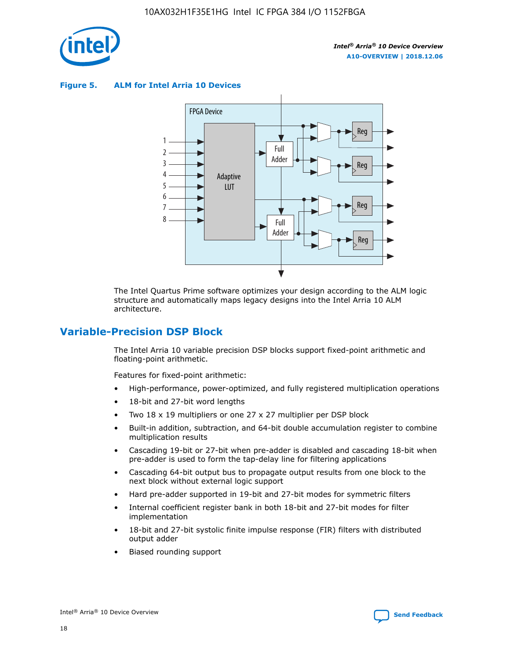

**Figure 5. ALM for Intel Arria 10 Devices**



The Intel Quartus Prime software optimizes your design according to the ALM logic structure and automatically maps legacy designs into the Intel Arria 10 ALM architecture.

# **Variable-Precision DSP Block**

The Intel Arria 10 variable precision DSP blocks support fixed-point arithmetic and floating-point arithmetic.

Features for fixed-point arithmetic:

- High-performance, power-optimized, and fully registered multiplication operations
- 18-bit and 27-bit word lengths
- Two 18 x 19 multipliers or one 27 x 27 multiplier per DSP block
- Built-in addition, subtraction, and 64-bit double accumulation register to combine multiplication results
- Cascading 19-bit or 27-bit when pre-adder is disabled and cascading 18-bit when pre-adder is used to form the tap-delay line for filtering applications
- Cascading 64-bit output bus to propagate output results from one block to the next block without external logic support
- Hard pre-adder supported in 19-bit and 27-bit modes for symmetric filters
- Internal coefficient register bank in both 18-bit and 27-bit modes for filter implementation
- 18-bit and 27-bit systolic finite impulse response (FIR) filters with distributed output adder
- Biased rounding support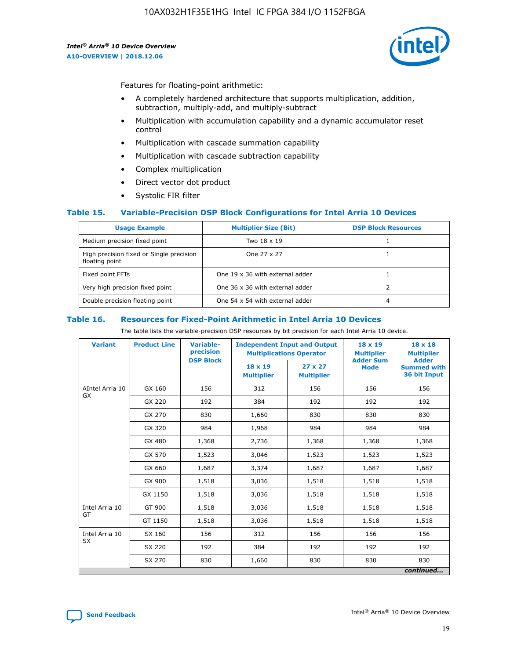

Features for floating-point arithmetic:

- A completely hardened architecture that supports multiplication, addition, subtraction, multiply-add, and multiply-subtract
- Multiplication with accumulation capability and a dynamic accumulator reset control
- Multiplication with cascade summation capability
- Multiplication with cascade subtraction capability
- Complex multiplication
- Direct vector dot product
- Systolic FIR filter

#### **Table 15. Variable-Precision DSP Block Configurations for Intel Arria 10 Devices**

| <b>Usage Example</b>                                       | <b>Multiplier Size (Bit)</b>    | <b>DSP Block Resources</b> |
|------------------------------------------------------------|---------------------------------|----------------------------|
| Medium precision fixed point                               | Two 18 x 19                     |                            |
| High precision fixed or Single precision<br>floating point | One 27 x 27                     |                            |
| Fixed point FFTs                                           | One 19 x 36 with external adder |                            |
| Very high precision fixed point                            | One 36 x 36 with external adder |                            |
| Double precision floating point                            | One 54 x 54 with external adder | 4                          |

#### **Table 16. Resources for Fixed-Point Arithmetic in Intel Arria 10 Devices**

The table lists the variable-precision DSP resources by bit precision for each Intel Arria 10 device.

| <b>Variant</b>        | <b>Product Line</b> | Variable-<br>precision<br><b>DSP Block</b> | <b>Independent Input and Output</b><br><b>Multiplications Operator</b> |                                     | 18 x 19<br><b>Multiplier</b><br><b>Adder Sum</b> | $18 \times 18$<br><b>Multiplier</b><br><b>Adder</b> |
|-----------------------|---------------------|--------------------------------------------|------------------------------------------------------------------------|-------------------------------------|--------------------------------------------------|-----------------------------------------------------|
|                       |                     |                                            | 18 x 19<br><b>Multiplier</b>                                           | $27 \times 27$<br><b>Multiplier</b> | <b>Mode</b>                                      | <b>Summed with</b><br>36 bit Input                  |
| AIntel Arria 10<br>GX | GX 160              | 156                                        | 312                                                                    | 156                                 | 156                                              | 156                                                 |
|                       | GX 220              | 192                                        | 384                                                                    | 192                                 | 192                                              | 192                                                 |
|                       | GX 270              | 830                                        | 1,660                                                                  | 830                                 | 830                                              | 830                                                 |
|                       | GX 320              | 984                                        | 1,968                                                                  | 984                                 | 984                                              | 984                                                 |
|                       | GX 480              | 1,368                                      | 2,736                                                                  | 1,368                               | 1,368                                            | 1,368                                               |
|                       | GX 570              | 1,523                                      | 3,046                                                                  | 1,523                               | 1,523                                            | 1,523                                               |
|                       | GX 660              | 1,687                                      | 3,374                                                                  | 1,687                               | 1,687                                            | 1,687                                               |
|                       | GX 900              | 1,518                                      | 3,036                                                                  | 1,518                               | 1,518                                            | 1,518                                               |
|                       | GX 1150             | 1,518                                      | 3,036                                                                  | 1,518                               | 1,518                                            | 1,518                                               |
| Intel Arria 10        | GT 900              | 1,518                                      | 3,036                                                                  | 1,518                               | 1,518                                            | 1,518                                               |
| GT                    | GT 1150             | 1,518                                      | 3,036                                                                  | 1,518                               | 1,518                                            | 1,518                                               |
| Intel Arria 10        | SX 160              | 156                                        | 312                                                                    | 156                                 | 156                                              | 156                                                 |
| <b>SX</b>             | SX 220              | 192                                        | 384                                                                    | 192                                 | 192                                              | 192                                                 |
|                       | SX 270              | 830                                        | 1,660                                                                  | 830                                 | 830                                              | 830                                                 |
|                       |                     |                                            |                                                                        |                                     |                                                  | continued                                           |

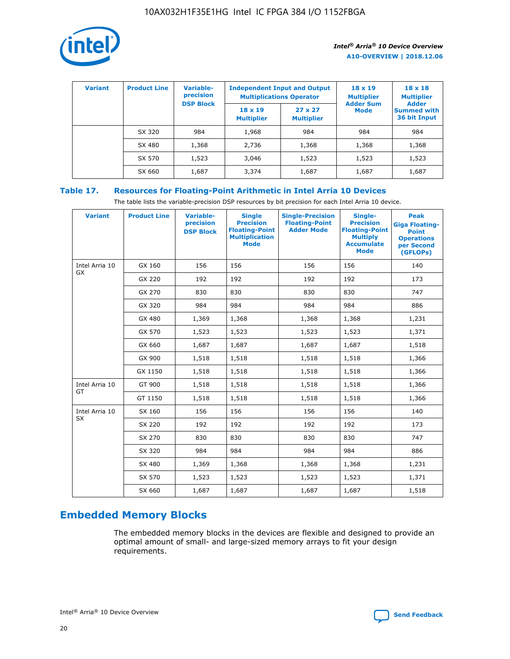

| <b>Variant</b> | <b>Product Line</b> | <b>Variable-</b><br>precision |                                     | <b>Independent Input and Output</b><br><b>Multiplications Operator</b> | $18 \times 19$<br><b>Multiplier</b> | $18 \times 18$<br><b>Multiplier</b>                |
|----------------|---------------------|-------------------------------|-------------------------------------|------------------------------------------------------------------------|-------------------------------------|----------------------------------------------------|
|                |                     | <b>DSP Block</b>              | $18 \times 19$<br><b>Multiplier</b> | $27 \times 27$<br><b>Multiplier</b>                                    | <b>Adder Sum</b><br>Mode            | <b>Adder</b><br><b>Summed with</b><br>36 bit Input |
|                | SX 320              | 984                           | 1,968                               | 984                                                                    | 984                                 | 984                                                |
|                | SX 480              | 1,368                         | 2,736                               | 1,368                                                                  | 1,368                               | 1,368                                              |
|                | SX 570              | 1,523                         | 3,046                               | 1,523                                                                  | 1,523                               | 1,523                                              |
|                | SX 660              | 1,687                         | 3,374                               | 1,687                                                                  | 1,687                               | 1,687                                              |

# **Table 17. Resources for Floating-Point Arithmetic in Intel Arria 10 Devices**

The table lists the variable-precision DSP resources by bit precision for each Intel Arria 10 device.

| <b>Variant</b>              | <b>Product Line</b> | <b>Variable-</b><br>precision<br><b>DSP Block</b> | <b>Single</b><br><b>Precision</b><br><b>Floating-Point</b><br><b>Multiplication</b><br><b>Mode</b> | <b>Single-Precision</b><br><b>Floating-Point</b><br><b>Adder Mode</b> | Single-<br><b>Precision</b><br><b>Floating-Point</b><br><b>Multiply</b><br><b>Accumulate</b><br><b>Mode</b> | <b>Peak</b><br><b>Giga Floating-</b><br><b>Point</b><br><b>Operations</b><br>per Second<br>(GFLOPs) |
|-----------------------------|---------------------|---------------------------------------------------|----------------------------------------------------------------------------------------------------|-----------------------------------------------------------------------|-------------------------------------------------------------------------------------------------------------|-----------------------------------------------------------------------------------------------------|
| Intel Arria 10<br>GX        | GX 160              | 156                                               | 156                                                                                                | 156                                                                   | 156                                                                                                         | 140                                                                                                 |
|                             | GX 220              | 192                                               | 192                                                                                                | 192                                                                   | 192                                                                                                         | 173                                                                                                 |
|                             | GX 270              | 830                                               | 830                                                                                                | 830                                                                   | 830                                                                                                         | 747                                                                                                 |
|                             | GX 320              | 984                                               | 984                                                                                                | 984                                                                   | 984                                                                                                         | 886                                                                                                 |
|                             | GX 480              | 1,369                                             | 1,368                                                                                              | 1,368                                                                 | 1,368                                                                                                       | 1,231                                                                                               |
|                             | GX 570              | 1,523                                             | 1,523                                                                                              | 1,523                                                                 | 1,523                                                                                                       | 1,371                                                                                               |
|                             | GX 660              | 1,687                                             | 1,687                                                                                              | 1,687                                                                 | 1,687                                                                                                       | 1,518                                                                                               |
|                             | GX 900              | 1,518                                             | 1,518                                                                                              | 1,518                                                                 | 1,518                                                                                                       | 1,366                                                                                               |
|                             | GX 1150             | 1,518                                             | 1,518                                                                                              | 1,518                                                                 | 1,518                                                                                                       | 1,366                                                                                               |
| Intel Arria 10              | GT 900              | 1,518                                             | 1,518                                                                                              | 1,518                                                                 | 1,518                                                                                                       | 1,366                                                                                               |
| GT                          | GT 1150             | 1,518                                             | 1,518                                                                                              | 1,518                                                                 | 1,518                                                                                                       | 1,366                                                                                               |
| Intel Arria 10<br><b>SX</b> | SX 160              | 156                                               | 156                                                                                                | 156                                                                   | 156                                                                                                         | 140                                                                                                 |
|                             | SX 220              | 192                                               | 192                                                                                                | 192                                                                   | 192                                                                                                         | 173                                                                                                 |
|                             | SX 270              | 830                                               | 830                                                                                                | 830                                                                   | 830                                                                                                         | 747                                                                                                 |
|                             | SX 320              | 984                                               | 984                                                                                                | 984                                                                   | 984                                                                                                         | 886                                                                                                 |
|                             | SX 480              | 1,369                                             | 1,368                                                                                              | 1,368                                                                 | 1,368                                                                                                       | 1,231                                                                                               |
|                             | SX 570              | 1,523                                             | 1,523                                                                                              | 1,523                                                                 | 1,523                                                                                                       | 1,371                                                                                               |
|                             | SX 660              | 1,687                                             | 1,687                                                                                              | 1,687                                                                 | 1,687                                                                                                       | 1,518                                                                                               |

# **Embedded Memory Blocks**

The embedded memory blocks in the devices are flexible and designed to provide an optimal amount of small- and large-sized memory arrays to fit your design requirements.

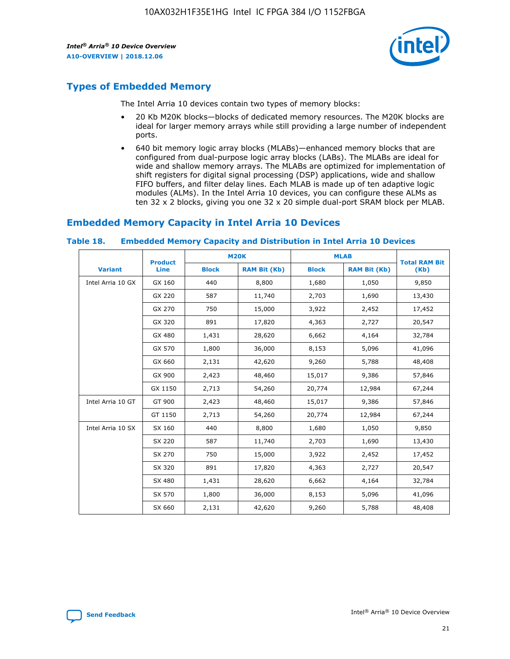

# **Types of Embedded Memory**

The Intel Arria 10 devices contain two types of memory blocks:

- 20 Kb M20K blocks—blocks of dedicated memory resources. The M20K blocks are ideal for larger memory arrays while still providing a large number of independent ports.
- 640 bit memory logic array blocks (MLABs)—enhanced memory blocks that are configured from dual-purpose logic array blocks (LABs). The MLABs are ideal for wide and shallow memory arrays. The MLABs are optimized for implementation of shift registers for digital signal processing (DSP) applications, wide and shallow FIFO buffers, and filter delay lines. Each MLAB is made up of ten adaptive logic modules (ALMs). In the Intel Arria 10 devices, you can configure these ALMs as ten 32 x 2 blocks, giving you one 32 x 20 simple dual-port SRAM block per MLAB.

# **Embedded Memory Capacity in Intel Arria 10 Devices**

|                   | <b>Product</b> |              | <b>M20K</b>         | <b>MLAB</b>  |                     | <b>Total RAM Bit</b> |
|-------------------|----------------|--------------|---------------------|--------------|---------------------|----------------------|
| <b>Variant</b>    | <b>Line</b>    | <b>Block</b> | <b>RAM Bit (Kb)</b> | <b>Block</b> | <b>RAM Bit (Kb)</b> | (Kb)                 |
| Intel Arria 10 GX | GX 160         | 440          | 8,800               | 1,680        | 1,050               | 9,850                |
|                   | GX 220         | 587          | 11,740              | 2,703        | 1,690               | 13,430               |
|                   | GX 270         | 750          | 15,000              | 3,922        | 2,452               | 17,452               |
|                   | GX 320         | 891          | 17,820              | 4,363        | 2,727               | 20,547               |
|                   | GX 480         | 1,431        | 28,620              | 6,662        | 4,164               | 32,784               |
|                   | GX 570         | 1,800        | 36,000              | 8,153        | 5,096               | 41,096               |
|                   | GX 660         | 2,131        | 42,620              | 9,260        | 5,788               | 48,408               |
|                   | GX 900         | 2,423        | 48,460              | 15,017       | 9,386               | 57,846               |
|                   | GX 1150        | 2,713        | 54,260              | 20,774       | 12,984              | 67,244               |
| Intel Arria 10 GT | GT 900         | 2,423        | 48,460              | 15,017       | 9,386               | 57,846               |
|                   | GT 1150        | 2,713        | 54,260              | 20,774       | 12,984              | 67,244               |
| Intel Arria 10 SX | SX 160         | 440          | 8,800               | 1,680        | 1,050               | 9,850                |
|                   | SX 220         | 587          | 11,740              | 2,703        | 1,690               | 13,430               |
|                   | SX 270         | 750          | 15,000              | 3,922        | 2,452               | 17,452               |
|                   | SX 320         | 891          | 17,820              | 4,363        | 2,727               | 20,547               |
|                   | SX 480         | 1,431        | 28,620              | 6,662        | 4,164               | 32,784               |
|                   | SX 570         | 1,800        | 36,000              | 8,153        | 5,096               | 41,096               |
|                   | SX 660         | 2,131        | 42,620              | 9,260        | 5,788               | 48,408               |

#### **Table 18. Embedded Memory Capacity and Distribution in Intel Arria 10 Devices**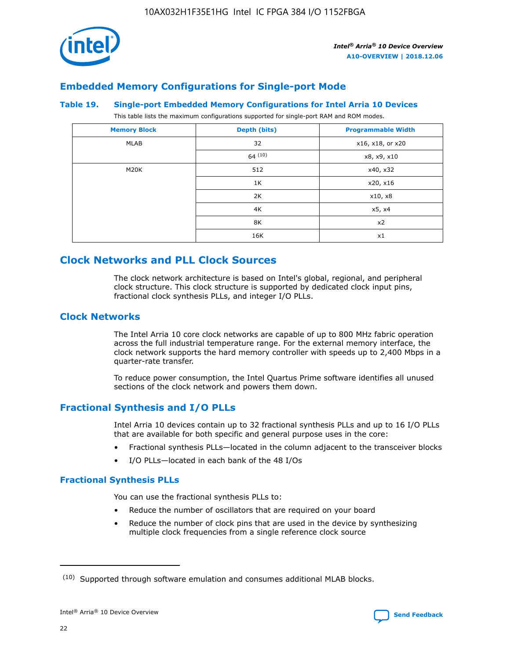

# **Embedded Memory Configurations for Single-port Mode**

#### **Table 19. Single-port Embedded Memory Configurations for Intel Arria 10 Devices**

This table lists the maximum configurations supported for single-port RAM and ROM modes.

| <b>Memory Block</b> | Depth (bits) | <b>Programmable Width</b> |
|---------------------|--------------|---------------------------|
| MLAB                | 32           | x16, x18, or x20          |
|                     | 64(10)       | x8, x9, x10               |
| M20K                | 512          | x40, x32                  |
|                     | 1K           | x20, x16                  |
|                     | 2K           | x10, x8                   |
|                     | 4K           | x5, x4                    |
|                     | 8K           | x2                        |
|                     | 16K          | x1                        |

# **Clock Networks and PLL Clock Sources**

The clock network architecture is based on Intel's global, regional, and peripheral clock structure. This clock structure is supported by dedicated clock input pins, fractional clock synthesis PLLs, and integer I/O PLLs.

# **Clock Networks**

The Intel Arria 10 core clock networks are capable of up to 800 MHz fabric operation across the full industrial temperature range. For the external memory interface, the clock network supports the hard memory controller with speeds up to 2,400 Mbps in a quarter-rate transfer.

To reduce power consumption, the Intel Quartus Prime software identifies all unused sections of the clock network and powers them down.

# **Fractional Synthesis and I/O PLLs**

Intel Arria 10 devices contain up to 32 fractional synthesis PLLs and up to 16 I/O PLLs that are available for both specific and general purpose uses in the core:

- Fractional synthesis PLLs—located in the column adjacent to the transceiver blocks
- I/O PLLs—located in each bank of the 48 I/Os

## **Fractional Synthesis PLLs**

You can use the fractional synthesis PLLs to:

- Reduce the number of oscillators that are required on your board
- Reduce the number of clock pins that are used in the device by synthesizing multiple clock frequencies from a single reference clock source

<sup>(10)</sup> Supported through software emulation and consumes additional MLAB blocks.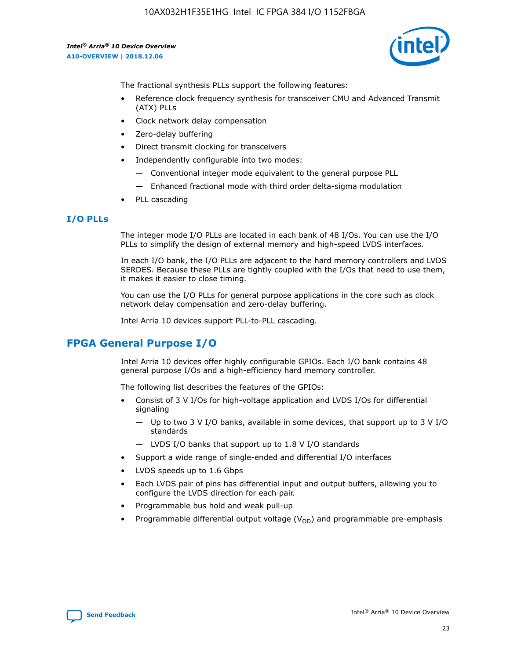

The fractional synthesis PLLs support the following features:

- Reference clock frequency synthesis for transceiver CMU and Advanced Transmit (ATX) PLLs
- Clock network delay compensation
- Zero-delay buffering
- Direct transmit clocking for transceivers
- Independently configurable into two modes:
	- Conventional integer mode equivalent to the general purpose PLL
	- Enhanced fractional mode with third order delta-sigma modulation
- PLL cascading

## **I/O PLLs**

The integer mode I/O PLLs are located in each bank of 48 I/Os. You can use the I/O PLLs to simplify the design of external memory and high-speed LVDS interfaces.

In each I/O bank, the I/O PLLs are adjacent to the hard memory controllers and LVDS SERDES. Because these PLLs are tightly coupled with the I/Os that need to use them, it makes it easier to close timing.

You can use the I/O PLLs for general purpose applications in the core such as clock network delay compensation and zero-delay buffering.

Intel Arria 10 devices support PLL-to-PLL cascading.

# **FPGA General Purpose I/O**

Intel Arria 10 devices offer highly configurable GPIOs. Each I/O bank contains 48 general purpose I/Os and a high-efficiency hard memory controller.

The following list describes the features of the GPIOs:

- Consist of 3 V I/Os for high-voltage application and LVDS I/Os for differential signaling
	- Up to two 3 V I/O banks, available in some devices, that support up to 3 V I/O standards
	- LVDS I/O banks that support up to 1.8 V I/O standards
- Support a wide range of single-ended and differential I/O interfaces
- LVDS speeds up to 1.6 Gbps
- Each LVDS pair of pins has differential input and output buffers, allowing you to configure the LVDS direction for each pair.
- Programmable bus hold and weak pull-up
- Programmable differential output voltage  $(V_{OD})$  and programmable pre-emphasis

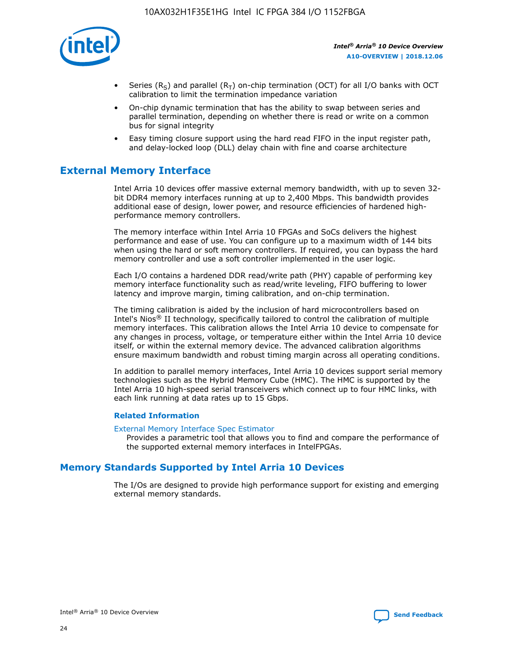

- Series (R<sub>S</sub>) and parallel (R<sub>T</sub>) on-chip termination (OCT) for all I/O banks with OCT calibration to limit the termination impedance variation
- On-chip dynamic termination that has the ability to swap between series and parallel termination, depending on whether there is read or write on a common bus for signal integrity
- Easy timing closure support using the hard read FIFO in the input register path, and delay-locked loop (DLL) delay chain with fine and coarse architecture

# **External Memory Interface**

Intel Arria 10 devices offer massive external memory bandwidth, with up to seven 32 bit DDR4 memory interfaces running at up to 2,400 Mbps. This bandwidth provides additional ease of design, lower power, and resource efficiencies of hardened highperformance memory controllers.

The memory interface within Intel Arria 10 FPGAs and SoCs delivers the highest performance and ease of use. You can configure up to a maximum width of 144 bits when using the hard or soft memory controllers. If required, you can bypass the hard memory controller and use a soft controller implemented in the user logic.

Each I/O contains a hardened DDR read/write path (PHY) capable of performing key memory interface functionality such as read/write leveling, FIFO buffering to lower latency and improve margin, timing calibration, and on-chip termination.

The timing calibration is aided by the inclusion of hard microcontrollers based on Intel's Nios® II technology, specifically tailored to control the calibration of multiple memory interfaces. This calibration allows the Intel Arria 10 device to compensate for any changes in process, voltage, or temperature either within the Intel Arria 10 device itself, or within the external memory device. The advanced calibration algorithms ensure maximum bandwidth and robust timing margin across all operating conditions.

In addition to parallel memory interfaces, Intel Arria 10 devices support serial memory technologies such as the Hybrid Memory Cube (HMC). The HMC is supported by the Intel Arria 10 high-speed serial transceivers which connect up to four HMC links, with each link running at data rates up to 15 Gbps.

#### **Related Information**

#### [External Memory Interface Spec Estimator](http://www.altera.com/technology/memory/estimator/mem-emif-index.html)

Provides a parametric tool that allows you to find and compare the performance of the supported external memory interfaces in IntelFPGAs.

# **Memory Standards Supported by Intel Arria 10 Devices**

The I/Os are designed to provide high performance support for existing and emerging external memory standards.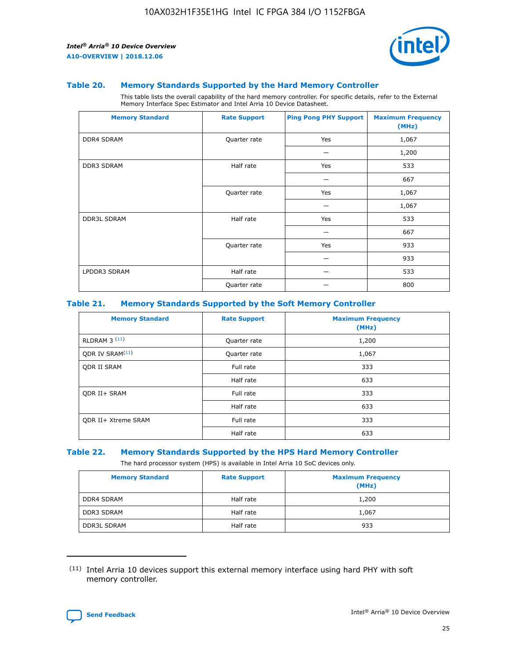

#### **Table 20. Memory Standards Supported by the Hard Memory Controller**

This table lists the overall capability of the hard memory controller. For specific details, refer to the External Memory Interface Spec Estimator and Intel Arria 10 Device Datasheet.

| <b>Memory Standard</b> | <b>Rate Support</b> | <b>Ping Pong PHY Support</b> | <b>Maximum Frequency</b><br>(MHz) |
|------------------------|---------------------|------------------------------|-----------------------------------|
| <b>DDR4 SDRAM</b>      | Quarter rate        | Yes                          | 1,067                             |
|                        |                     |                              | 1,200                             |
| DDR3 SDRAM             | Half rate           | Yes                          | 533                               |
|                        |                     |                              | 667                               |
|                        | Quarter rate        | Yes                          | 1,067                             |
|                        |                     |                              | 1,067                             |
| <b>DDR3L SDRAM</b>     | Half rate           | Yes                          | 533                               |
|                        |                     |                              | 667                               |
|                        | Quarter rate        | Yes                          | 933                               |
|                        |                     |                              | 933                               |
| LPDDR3 SDRAM           | Half rate           |                              | 533                               |
|                        | Quarter rate        |                              | 800                               |

#### **Table 21. Memory Standards Supported by the Soft Memory Controller**

| <b>Memory Standard</b>      | <b>Rate Support</b> | <b>Maximum Frequency</b><br>(MHz) |
|-----------------------------|---------------------|-----------------------------------|
| <b>RLDRAM 3 (11)</b>        | Quarter rate        | 1,200                             |
| ODR IV SRAM <sup>(11)</sup> | Quarter rate        | 1,067                             |
| <b>ODR II SRAM</b>          | Full rate           | 333                               |
|                             | Half rate           | 633                               |
| <b>ODR II+ SRAM</b>         | Full rate           | 333                               |
|                             | Half rate           | 633                               |
| <b>ODR II+ Xtreme SRAM</b>  | Full rate           | 333                               |
|                             | Half rate           | 633                               |

#### **Table 22. Memory Standards Supported by the HPS Hard Memory Controller**

The hard processor system (HPS) is available in Intel Arria 10 SoC devices only.

| <b>Memory Standard</b> | <b>Rate Support</b> | <b>Maximum Frequency</b><br>(MHz) |
|------------------------|---------------------|-----------------------------------|
| <b>DDR4 SDRAM</b>      | Half rate           | 1,200                             |
| <b>DDR3 SDRAM</b>      | Half rate           | 1,067                             |
| <b>DDR3L SDRAM</b>     | Half rate           | 933                               |

<sup>(11)</sup> Intel Arria 10 devices support this external memory interface using hard PHY with soft memory controller.

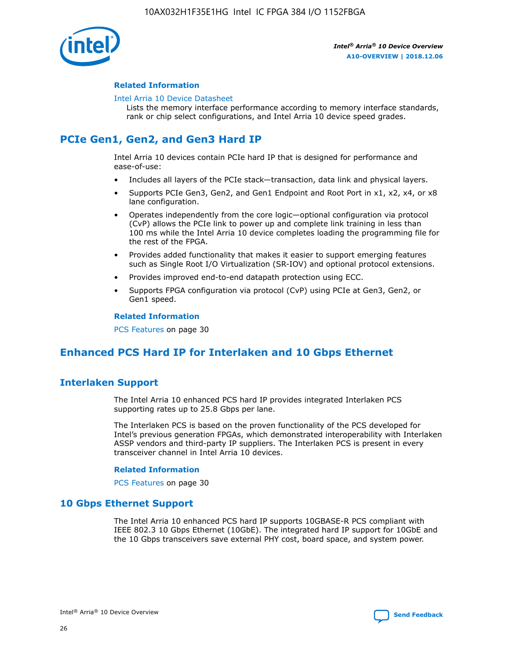

#### **Related Information**

#### [Intel Arria 10 Device Datasheet](https://www.intel.com/content/www/us/en/programmable/documentation/mcn1413182292568.html#mcn1413182153340)

Lists the memory interface performance according to memory interface standards, rank or chip select configurations, and Intel Arria 10 device speed grades.

# **PCIe Gen1, Gen2, and Gen3 Hard IP**

Intel Arria 10 devices contain PCIe hard IP that is designed for performance and ease-of-use:

- Includes all layers of the PCIe stack—transaction, data link and physical layers.
- Supports PCIe Gen3, Gen2, and Gen1 Endpoint and Root Port in x1, x2, x4, or x8 lane configuration.
- Operates independently from the core logic—optional configuration via protocol (CvP) allows the PCIe link to power up and complete link training in less than 100 ms while the Intel Arria 10 device completes loading the programming file for the rest of the FPGA.
- Provides added functionality that makes it easier to support emerging features such as Single Root I/O Virtualization (SR-IOV) and optional protocol extensions.
- Provides improved end-to-end datapath protection using ECC.
- Supports FPGA configuration via protocol (CvP) using PCIe at Gen3, Gen2, or Gen1 speed.

#### **Related Information**

PCS Features on page 30

# **Enhanced PCS Hard IP for Interlaken and 10 Gbps Ethernet**

# **Interlaken Support**

The Intel Arria 10 enhanced PCS hard IP provides integrated Interlaken PCS supporting rates up to 25.8 Gbps per lane.

The Interlaken PCS is based on the proven functionality of the PCS developed for Intel's previous generation FPGAs, which demonstrated interoperability with Interlaken ASSP vendors and third-party IP suppliers. The Interlaken PCS is present in every transceiver channel in Intel Arria 10 devices.

#### **Related Information**

PCS Features on page 30

## **10 Gbps Ethernet Support**

The Intel Arria 10 enhanced PCS hard IP supports 10GBASE-R PCS compliant with IEEE 802.3 10 Gbps Ethernet (10GbE). The integrated hard IP support for 10GbE and the 10 Gbps transceivers save external PHY cost, board space, and system power.

![](_page_26_Picture_24.jpeg)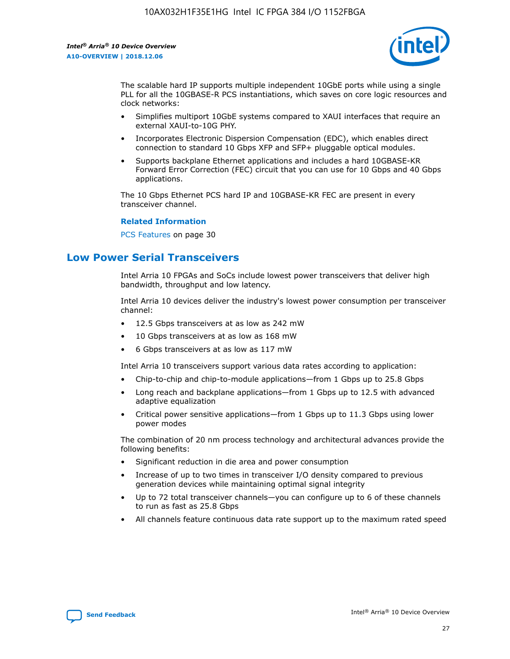![](_page_27_Picture_2.jpeg)

The scalable hard IP supports multiple independent 10GbE ports while using a single PLL for all the 10GBASE-R PCS instantiations, which saves on core logic resources and clock networks:

- Simplifies multiport 10GbE systems compared to XAUI interfaces that require an external XAUI-to-10G PHY.
- Incorporates Electronic Dispersion Compensation (EDC), which enables direct connection to standard 10 Gbps XFP and SFP+ pluggable optical modules.
- Supports backplane Ethernet applications and includes a hard 10GBASE-KR Forward Error Correction (FEC) circuit that you can use for 10 Gbps and 40 Gbps applications.

The 10 Gbps Ethernet PCS hard IP and 10GBASE-KR FEC are present in every transceiver channel.

#### **Related Information**

PCS Features on page 30

# **Low Power Serial Transceivers**

Intel Arria 10 FPGAs and SoCs include lowest power transceivers that deliver high bandwidth, throughput and low latency.

Intel Arria 10 devices deliver the industry's lowest power consumption per transceiver channel:

- 12.5 Gbps transceivers at as low as 242 mW
- 10 Gbps transceivers at as low as 168 mW
- 6 Gbps transceivers at as low as 117 mW

Intel Arria 10 transceivers support various data rates according to application:

- Chip-to-chip and chip-to-module applications—from 1 Gbps up to 25.8 Gbps
- Long reach and backplane applications—from 1 Gbps up to 12.5 with advanced adaptive equalization
- Critical power sensitive applications—from 1 Gbps up to 11.3 Gbps using lower power modes

The combination of 20 nm process technology and architectural advances provide the following benefits:

- Significant reduction in die area and power consumption
- Increase of up to two times in transceiver I/O density compared to previous generation devices while maintaining optimal signal integrity
- Up to 72 total transceiver channels—you can configure up to 6 of these channels to run as fast as 25.8 Gbps
- All channels feature continuous data rate support up to the maximum rated speed

![](_page_27_Picture_25.jpeg)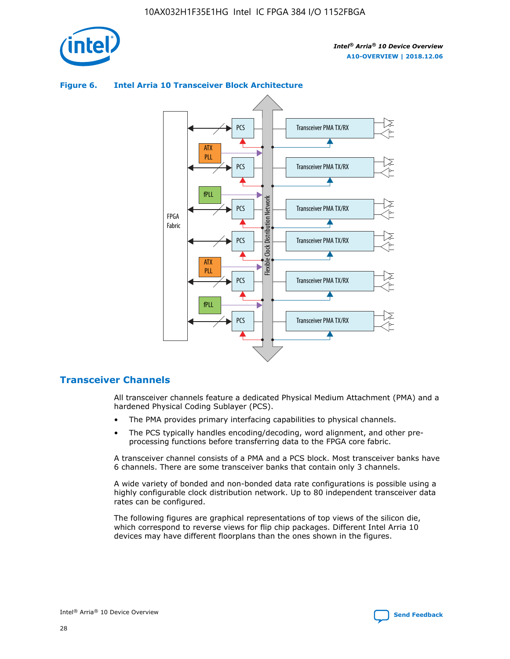![](_page_28_Picture_1.jpeg)

![](_page_28_Figure_3.jpeg)

## **Figure 6. Intel Arria 10 Transceiver Block Architecture**

# **Transceiver Channels**

All transceiver channels feature a dedicated Physical Medium Attachment (PMA) and a hardened Physical Coding Sublayer (PCS).

- The PMA provides primary interfacing capabilities to physical channels.
- The PCS typically handles encoding/decoding, word alignment, and other preprocessing functions before transferring data to the FPGA core fabric.

A transceiver channel consists of a PMA and a PCS block. Most transceiver banks have 6 channels. There are some transceiver banks that contain only 3 channels.

A wide variety of bonded and non-bonded data rate configurations is possible using a highly configurable clock distribution network. Up to 80 independent transceiver data rates can be configured.

The following figures are graphical representations of top views of the silicon die, which correspond to reverse views for flip chip packages. Different Intel Arria 10 devices may have different floorplans than the ones shown in the figures.

![](_page_28_Picture_12.jpeg)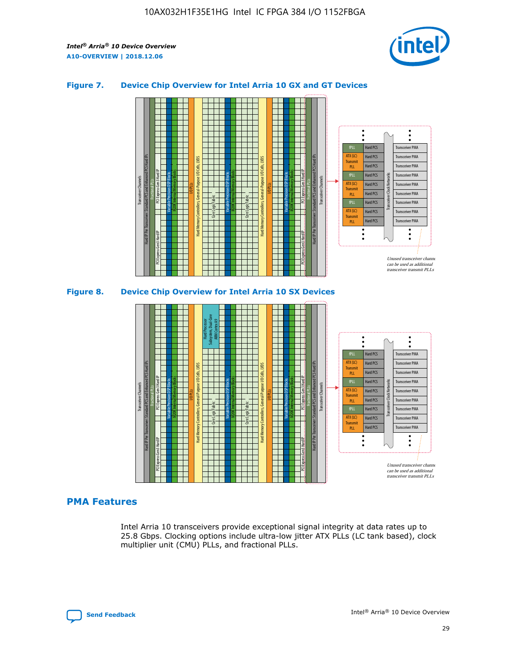![](_page_29_Picture_2.jpeg)

## **Figure 7. Device Chip Overview for Intel Arria 10 GX and GT Devices**

![](_page_29_Figure_4.jpeg)

![](_page_29_Figure_5.jpeg)

## **PMA Features**

Intel Arria 10 transceivers provide exceptional signal integrity at data rates up to 25.8 Gbps. Clocking options include ultra-low jitter ATX PLLs (LC tank based), clock multiplier unit (CMU) PLLs, and fractional PLLs.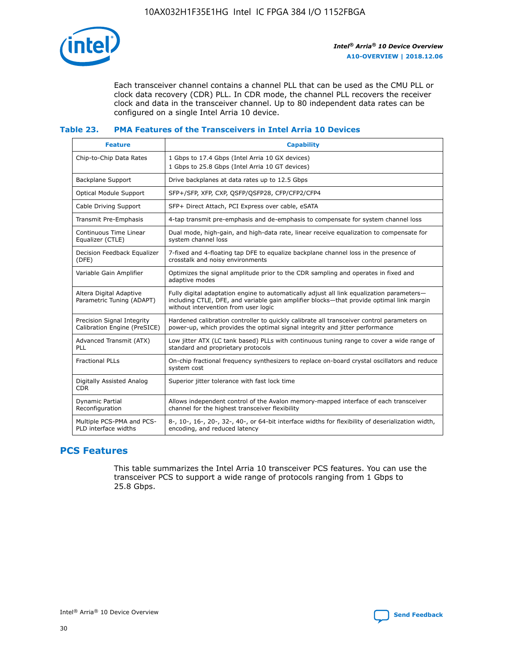![](_page_30_Picture_1.jpeg)

Each transceiver channel contains a channel PLL that can be used as the CMU PLL or clock data recovery (CDR) PLL. In CDR mode, the channel PLL recovers the receiver clock and data in the transceiver channel. Up to 80 independent data rates can be configured on a single Intel Arria 10 device.

# **Table 23. PMA Features of the Transceivers in Intel Arria 10 Devices**

| <b>Feature</b>                                             | <b>Capability</b>                                                                                                                                                                                                             |
|------------------------------------------------------------|-------------------------------------------------------------------------------------------------------------------------------------------------------------------------------------------------------------------------------|
| Chip-to-Chip Data Rates                                    | 1 Gbps to 17.4 Gbps (Intel Arria 10 GX devices)<br>1 Gbps to 25.8 Gbps (Intel Arria 10 GT devices)                                                                                                                            |
| Backplane Support                                          | Drive backplanes at data rates up to 12.5 Gbps                                                                                                                                                                                |
| <b>Optical Module Support</b>                              | SFP+/SFP, XFP, CXP, OSFP/OSFP28, CFP/CFP2/CFP4                                                                                                                                                                                |
| Cable Driving Support                                      | SFP+ Direct Attach, PCI Express over cable, eSATA                                                                                                                                                                             |
| <b>Transmit Pre-Emphasis</b>                               | 4-tap transmit pre-emphasis and de-emphasis to compensate for system channel loss                                                                                                                                             |
| Continuous Time Linear<br>Equalizer (CTLE)                 | Dual mode, high-gain, and high-data rate, linear receive equalization to compensate for<br>system channel loss                                                                                                                |
| Decision Feedback Equalizer<br>(DFE)                       | 7-fixed and 4-floating tap DFE to equalize backplane channel loss in the presence of<br>crosstalk and noisy environments                                                                                                      |
| Variable Gain Amplifier                                    | Optimizes the signal amplitude prior to the CDR sampling and operates in fixed and<br>adaptive modes                                                                                                                          |
| Altera Digital Adaptive<br>Parametric Tuning (ADAPT)       | Fully digital adaptation engine to automatically adjust all link equalization parameters-<br>including CTLE, DFE, and variable gain amplifier blocks-that provide optimal link margin<br>without intervention from user logic |
| Precision Signal Integrity<br>Calibration Engine (PreSICE) | Hardened calibration controller to quickly calibrate all transceiver control parameters on<br>power-up, which provides the optimal signal integrity and jitter performance                                                    |
| Advanced Transmit (ATX)<br>PLL                             | Low jitter ATX (LC tank based) PLLs with continuous tuning range to cover a wide range of<br>standard and proprietary protocols                                                                                               |
| <b>Fractional PLLs</b>                                     | On-chip fractional frequency synthesizers to replace on-board crystal oscillators and reduce<br>system cost                                                                                                                   |
| Digitally Assisted Analog<br><b>CDR</b>                    | Superior jitter tolerance with fast lock time                                                                                                                                                                                 |
| <b>Dynamic Partial</b><br>Reconfiguration                  | Allows independent control of the Avalon memory-mapped interface of each transceiver<br>channel for the highest transceiver flexibility                                                                                       |
| Multiple PCS-PMA and PCS-<br>PLD interface widths          | 8-, 10-, 16-, 20-, 32-, 40-, or 64-bit interface widths for flexibility of deserialization width,<br>encoding, and reduced latency                                                                                            |

# **PCS Features**

This table summarizes the Intel Arria 10 transceiver PCS features. You can use the transceiver PCS to support a wide range of protocols ranging from 1 Gbps to 25.8 Gbps.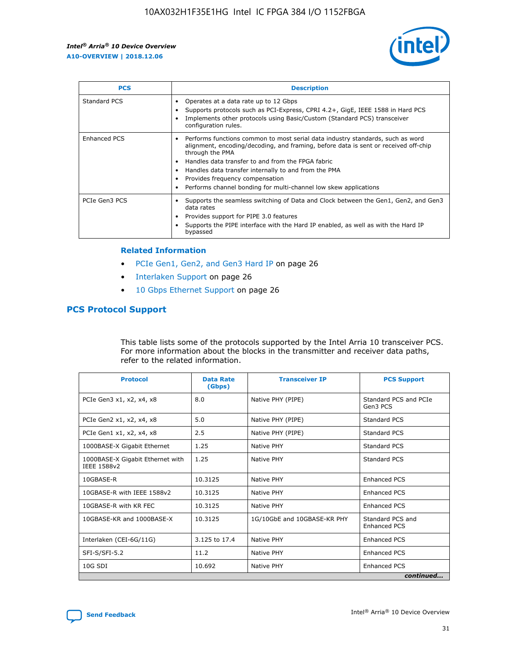![](_page_31_Picture_2.jpeg)

| <b>PCS</b>          | <b>Description</b>                                                                                                                                                                                                                                                                                                                                                                                             |
|---------------------|----------------------------------------------------------------------------------------------------------------------------------------------------------------------------------------------------------------------------------------------------------------------------------------------------------------------------------------------------------------------------------------------------------------|
| Standard PCS        | Operates at a data rate up to 12 Gbps<br>Supports protocols such as PCI-Express, CPRI 4.2+, GigE, IEEE 1588 in Hard PCS<br>Implements other protocols using Basic/Custom (Standard PCS) transceiver<br>configuration rules.                                                                                                                                                                                    |
| <b>Enhanced PCS</b> | Performs functions common to most serial data industry standards, such as word<br>alignment, encoding/decoding, and framing, before data is sent or received off-chip<br>through the PMA<br>• Handles data transfer to and from the FPGA fabric<br>Handles data transfer internally to and from the PMA<br>Provides frequency compensation<br>Performs channel bonding for multi-channel low skew applications |
| PCIe Gen3 PCS       | Supports the seamless switching of Data and Clock between the Gen1, Gen2, and Gen3<br>data rates<br>Provides support for PIPE 3.0 features<br>Supports the PIPE interface with the Hard IP enabled, as well as with the Hard IP<br>bypassed                                                                                                                                                                    |

#### **Related Information**

- PCIe Gen1, Gen2, and Gen3 Hard IP on page 26
- Interlaken Support on page 26
- 10 Gbps Ethernet Support on page 26

# **PCS Protocol Support**

This table lists some of the protocols supported by the Intel Arria 10 transceiver PCS. For more information about the blocks in the transmitter and receiver data paths, refer to the related information.

| <b>Protocol</b>                                 | <b>Data Rate</b><br>(Gbps) | <b>Transceiver IP</b>       | <b>PCS Support</b>                      |
|-------------------------------------------------|----------------------------|-----------------------------|-----------------------------------------|
| PCIe Gen3 x1, x2, x4, x8                        | 8.0                        | Native PHY (PIPE)           | Standard PCS and PCIe<br>Gen3 PCS       |
| PCIe Gen2 x1, x2, x4, x8                        | 5.0                        | Native PHY (PIPE)           | <b>Standard PCS</b>                     |
| PCIe Gen1 x1, x2, x4, x8                        | 2.5                        | Native PHY (PIPE)           | Standard PCS                            |
| 1000BASE-X Gigabit Ethernet                     | 1.25                       | Native PHY                  | <b>Standard PCS</b>                     |
| 1000BASE-X Gigabit Ethernet with<br>IEEE 1588v2 | 1.25                       | Native PHY                  | Standard PCS                            |
| 10GBASE-R                                       | 10.3125                    | Native PHY                  | <b>Enhanced PCS</b>                     |
| 10GBASE-R with IEEE 1588v2                      | 10.3125                    | Native PHY                  | <b>Enhanced PCS</b>                     |
| 10GBASE-R with KR FEC                           | 10.3125                    | Native PHY                  | <b>Enhanced PCS</b>                     |
| 10GBASE-KR and 1000BASE-X                       | 10.3125                    | 1G/10GbE and 10GBASE-KR PHY | Standard PCS and<br><b>Enhanced PCS</b> |
| Interlaken (CEI-6G/11G)                         | 3.125 to 17.4              | Native PHY                  | <b>Enhanced PCS</b>                     |
| SFI-S/SFI-5.2                                   | 11.2                       | Native PHY                  | <b>Enhanced PCS</b>                     |
| $10G$ SDI                                       | 10.692                     | Native PHY                  | <b>Enhanced PCS</b>                     |
|                                                 |                            |                             | continued                               |

![](_page_31_Picture_11.jpeg)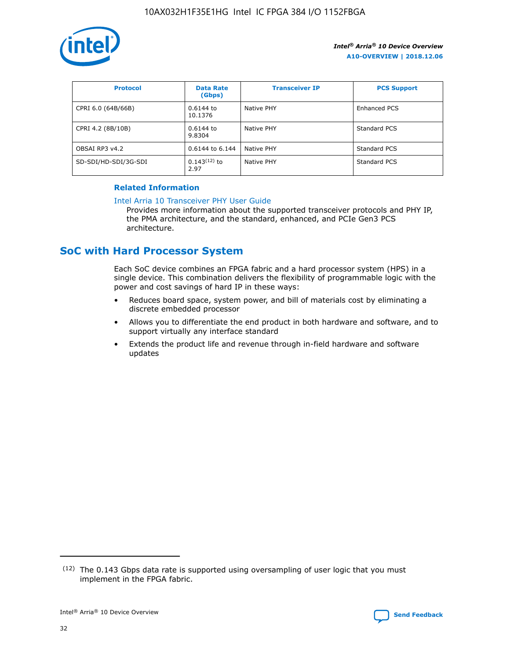![](_page_32_Picture_1.jpeg)

| <b>Protocol</b>      | <b>Data Rate</b><br>(Gbps) | <b>Transceiver IP</b> | <b>PCS Support</b> |
|----------------------|----------------------------|-----------------------|--------------------|
| CPRI 6.0 (64B/66B)   | 0.6144 to<br>10.1376       | Native PHY            | Enhanced PCS       |
| CPRI 4.2 (8B/10B)    | $0.6144$ to<br>9.8304      | Native PHY            | Standard PCS       |
| OBSAI RP3 v4.2       | 0.6144 to 6.144            | Native PHY            | Standard PCS       |
| SD-SDI/HD-SDI/3G-SDI | $0.143(12)$ to<br>2.97     | Native PHY            | Standard PCS       |

## **Related Information**

#### [Intel Arria 10 Transceiver PHY User Guide](https://www.intel.com/content/www/us/en/programmable/documentation/nik1398707230472.html#nik1398707091164)

Provides more information about the supported transceiver protocols and PHY IP, the PMA architecture, and the standard, enhanced, and PCIe Gen3 PCS architecture.

# **SoC with Hard Processor System**

Each SoC device combines an FPGA fabric and a hard processor system (HPS) in a single device. This combination delivers the flexibility of programmable logic with the power and cost savings of hard IP in these ways:

- Reduces board space, system power, and bill of materials cost by eliminating a discrete embedded processor
- Allows you to differentiate the end product in both hardware and software, and to support virtually any interface standard
- Extends the product life and revenue through in-field hardware and software updates

 $(12)$  The 0.143 Gbps data rate is supported using oversampling of user logic that you must implement in the FPGA fabric.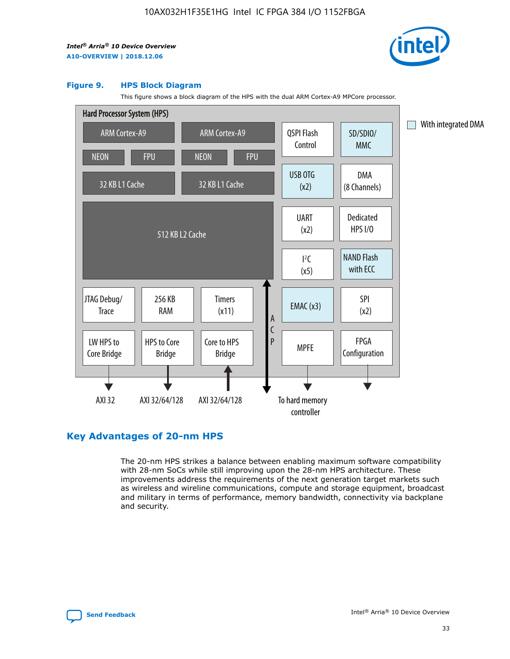![](_page_33_Picture_2.jpeg)

#### **Figure 9. HPS Block Diagram**

This figure shows a block diagram of the HPS with the dual ARM Cortex-A9 MPCore processor.

![](_page_33_Figure_5.jpeg)

# **Key Advantages of 20-nm HPS**

The 20-nm HPS strikes a balance between enabling maximum software compatibility with 28-nm SoCs while still improving upon the 28-nm HPS architecture. These improvements address the requirements of the next generation target markets such as wireless and wireline communications, compute and storage equipment, broadcast and military in terms of performance, memory bandwidth, connectivity via backplane and security.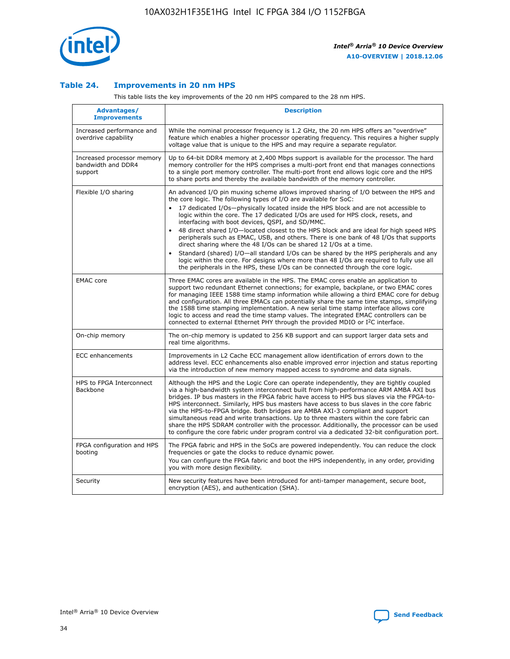![](_page_34_Picture_1.jpeg)

## **Table 24. Improvements in 20 nm HPS**

This table lists the key improvements of the 20 nm HPS compared to the 28 nm HPS.

| Advantages/<br><b>Improvements</b>                          | <b>Description</b>                                                                                                                                                                                                                                                                                                                                                                                                                                                                                                                                                                                                                                                                                                                                                                                                                                                                                                                                |
|-------------------------------------------------------------|---------------------------------------------------------------------------------------------------------------------------------------------------------------------------------------------------------------------------------------------------------------------------------------------------------------------------------------------------------------------------------------------------------------------------------------------------------------------------------------------------------------------------------------------------------------------------------------------------------------------------------------------------------------------------------------------------------------------------------------------------------------------------------------------------------------------------------------------------------------------------------------------------------------------------------------------------|
| Increased performance and<br>overdrive capability           | While the nominal processor frequency is 1.2 GHz, the 20 nm HPS offers an "overdrive"<br>feature which enables a higher processor operating frequency. This requires a higher supply<br>voltage value that is unique to the HPS and may require a separate regulator.                                                                                                                                                                                                                                                                                                                                                                                                                                                                                                                                                                                                                                                                             |
| Increased processor memory<br>bandwidth and DDR4<br>support | Up to 64-bit DDR4 memory at 2,400 Mbps support is available for the processor. The hard<br>memory controller for the HPS comprises a multi-port front end that manages connections<br>to a single port memory controller. The multi-port front end allows logic core and the HPS<br>to share ports and thereby the available bandwidth of the memory controller.                                                                                                                                                                                                                                                                                                                                                                                                                                                                                                                                                                                  |
| Flexible I/O sharing                                        | An advanced I/O pin muxing scheme allows improved sharing of I/O between the HPS and<br>the core logic. The following types of I/O are available for SoC:<br>$\bullet$<br>17 dedicated I/Os-physically located inside the HPS block and are not accessible to<br>logic within the core. The 17 dedicated I/Os are used for HPS clock, resets, and<br>interfacing with boot devices, QSPI, and SD/MMC.<br>48 direct shared I/O-located closest to the HPS block and are ideal for high speed HPS<br>$\bullet$<br>peripherals such as EMAC, USB, and others. There is one bank of 48 I/Os that supports<br>direct sharing where the 48 I/Os can be shared 12 I/Os at a time.<br>Standard (shared) I/O-all standard I/Os can be shared by the HPS peripherals and any<br>logic within the core. For designs where more than 48 I/Os are required to fully use all<br>the peripherals in the HPS, these I/Os can be connected through the core logic. |
| <b>EMAC</b> core                                            | Three EMAC cores are available in the HPS. The EMAC cores enable an application to<br>support two redundant Ethernet connections; for example, backplane, or two EMAC cores<br>for managing IEEE 1588 time stamp information while allowing a third EMAC core for debug<br>and configuration. All three EMACs can potentially share the same time stamps, simplifying<br>the 1588 time stamping implementation. A new serial time stamp interface allows core<br>logic to access and read the time stamp values. The integrated EMAC controllers can be<br>connected to external Ethernet PHY through the provided MDIO or I <sup>2</sup> C interface.                                                                                                                                                                                                                                                                                            |
| On-chip memory                                              | The on-chip memory is updated to 256 KB support and can support larger data sets and<br>real time algorithms.                                                                                                                                                                                                                                                                                                                                                                                                                                                                                                                                                                                                                                                                                                                                                                                                                                     |
| <b>ECC</b> enhancements                                     | Improvements in L2 Cache ECC management allow identification of errors down to the<br>address level. ECC enhancements also enable improved error injection and status reporting<br>via the introduction of new memory mapped access to syndrome and data signals.                                                                                                                                                                                                                                                                                                                                                                                                                                                                                                                                                                                                                                                                                 |
| HPS to FPGA Interconnect<br>Backbone                        | Although the HPS and the Logic Core can operate independently, they are tightly coupled<br>via a high-bandwidth system interconnect built from high-performance ARM AMBA AXI bus<br>bridges. IP bus masters in the FPGA fabric have access to HPS bus slaves via the FPGA-to-<br>HPS interconnect. Similarly, HPS bus masters have access to bus slaves in the core fabric<br>via the HPS-to-FPGA bridge. Both bridges are AMBA AXI-3 compliant and support<br>simultaneous read and write transactions. Up to three masters within the core fabric can<br>share the HPS SDRAM controller with the processor. Additionally, the processor can be used<br>to configure the core fabric under program control via a dedicated 32-bit configuration port.                                                                                                                                                                                            |
| FPGA configuration and HPS<br>booting                       | The FPGA fabric and HPS in the SoCs are powered independently. You can reduce the clock<br>frequencies or gate the clocks to reduce dynamic power.<br>You can configure the FPGA fabric and boot the HPS independently, in any order, providing<br>you with more design flexibility.                                                                                                                                                                                                                                                                                                                                                                                                                                                                                                                                                                                                                                                              |
| Security                                                    | New security features have been introduced for anti-tamper management, secure boot,<br>encryption (AES), and authentication (SHA).                                                                                                                                                                                                                                                                                                                                                                                                                                                                                                                                                                                                                                                                                                                                                                                                                |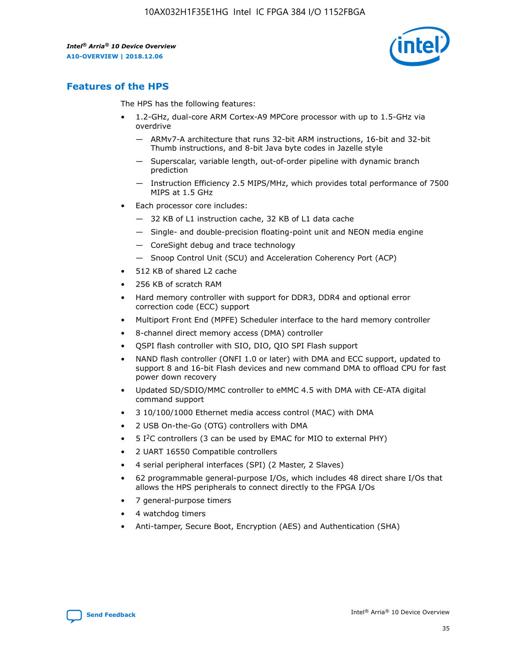![](_page_35_Picture_2.jpeg)

# **Features of the HPS**

The HPS has the following features:

- 1.2-GHz, dual-core ARM Cortex-A9 MPCore processor with up to 1.5-GHz via overdrive
	- ARMv7-A architecture that runs 32-bit ARM instructions, 16-bit and 32-bit Thumb instructions, and 8-bit Java byte codes in Jazelle style
	- Superscalar, variable length, out-of-order pipeline with dynamic branch prediction
	- Instruction Efficiency 2.5 MIPS/MHz, which provides total performance of 7500 MIPS at 1.5 GHz
- Each processor core includes:
	- 32 KB of L1 instruction cache, 32 KB of L1 data cache
	- Single- and double-precision floating-point unit and NEON media engine
	- CoreSight debug and trace technology
	- Snoop Control Unit (SCU) and Acceleration Coherency Port (ACP)
- 512 KB of shared L2 cache
- 256 KB of scratch RAM
- Hard memory controller with support for DDR3, DDR4 and optional error correction code (ECC) support
- Multiport Front End (MPFE) Scheduler interface to the hard memory controller
- 8-channel direct memory access (DMA) controller
- QSPI flash controller with SIO, DIO, QIO SPI Flash support
- NAND flash controller (ONFI 1.0 or later) with DMA and ECC support, updated to support 8 and 16-bit Flash devices and new command DMA to offload CPU for fast power down recovery
- Updated SD/SDIO/MMC controller to eMMC 4.5 with DMA with CE-ATA digital command support
- 3 10/100/1000 Ethernet media access control (MAC) with DMA
- 2 USB On-the-Go (OTG) controllers with DMA
- $\bullet$  5 I<sup>2</sup>C controllers (3 can be used by EMAC for MIO to external PHY)
- 2 UART 16550 Compatible controllers
- 4 serial peripheral interfaces (SPI) (2 Master, 2 Slaves)
- 62 programmable general-purpose I/Os, which includes 48 direct share I/Os that allows the HPS peripherals to connect directly to the FPGA I/Os
- 7 general-purpose timers
- 4 watchdog timers
- Anti-tamper, Secure Boot, Encryption (AES) and Authentication (SHA)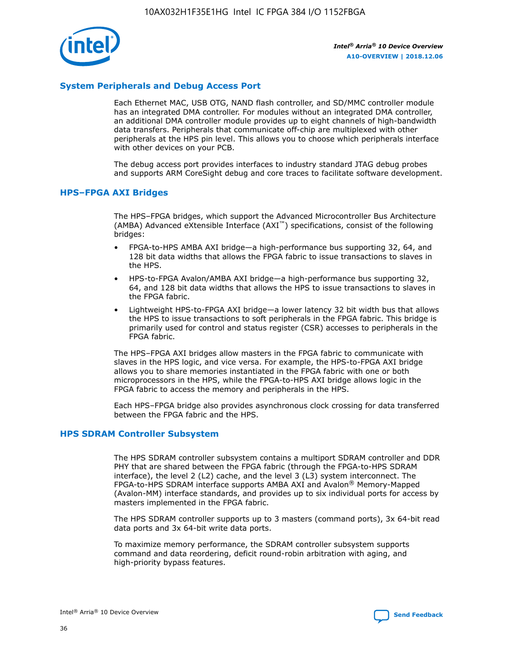![](_page_36_Picture_1.jpeg)

## **System Peripherals and Debug Access Port**

Each Ethernet MAC, USB OTG, NAND flash controller, and SD/MMC controller module has an integrated DMA controller. For modules without an integrated DMA controller, an additional DMA controller module provides up to eight channels of high-bandwidth data transfers. Peripherals that communicate off-chip are multiplexed with other peripherals at the HPS pin level. This allows you to choose which peripherals interface with other devices on your PCB.

The debug access port provides interfaces to industry standard JTAG debug probes and supports ARM CoreSight debug and core traces to facilitate software development.

#### **HPS–FPGA AXI Bridges**

The HPS–FPGA bridges, which support the Advanced Microcontroller Bus Architecture (AMBA) Advanced eXtensible Interface (AXI™) specifications, consist of the following bridges:

- FPGA-to-HPS AMBA AXI bridge—a high-performance bus supporting 32, 64, and 128 bit data widths that allows the FPGA fabric to issue transactions to slaves in the HPS.
- HPS-to-FPGA Avalon/AMBA AXI bridge—a high-performance bus supporting 32, 64, and 128 bit data widths that allows the HPS to issue transactions to slaves in the FPGA fabric.
- Lightweight HPS-to-FPGA AXI bridge—a lower latency 32 bit width bus that allows the HPS to issue transactions to soft peripherals in the FPGA fabric. This bridge is primarily used for control and status register (CSR) accesses to peripherals in the FPGA fabric.

The HPS–FPGA AXI bridges allow masters in the FPGA fabric to communicate with slaves in the HPS logic, and vice versa. For example, the HPS-to-FPGA AXI bridge allows you to share memories instantiated in the FPGA fabric with one or both microprocessors in the HPS, while the FPGA-to-HPS AXI bridge allows logic in the FPGA fabric to access the memory and peripherals in the HPS.

Each HPS–FPGA bridge also provides asynchronous clock crossing for data transferred between the FPGA fabric and the HPS.

#### **HPS SDRAM Controller Subsystem**

The HPS SDRAM controller subsystem contains a multiport SDRAM controller and DDR PHY that are shared between the FPGA fabric (through the FPGA-to-HPS SDRAM interface), the level 2 (L2) cache, and the level 3 (L3) system interconnect. The FPGA-to-HPS SDRAM interface supports AMBA AXI and Avalon® Memory-Mapped (Avalon-MM) interface standards, and provides up to six individual ports for access by masters implemented in the FPGA fabric.

The HPS SDRAM controller supports up to 3 masters (command ports), 3x 64-bit read data ports and 3x 64-bit write data ports.

To maximize memory performance, the SDRAM controller subsystem supports command and data reordering, deficit round-robin arbitration with aging, and high-priority bypass features.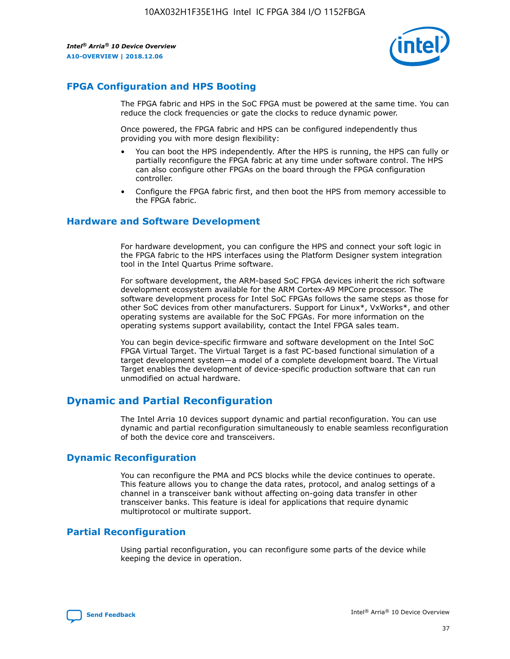![](_page_37_Picture_2.jpeg)

# **FPGA Configuration and HPS Booting**

The FPGA fabric and HPS in the SoC FPGA must be powered at the same time. You can reduce the clock frequencies or gate the clocks to reduce dynamic power.

Once powered, the FPGA fabric and HPS can be configured independently thus providing you with more design flexibility:

- You can boot the HPS independently. After the HPS is running, the HPS can fully or partially reconfigure the FPGA fabric at any time under software control. The HPS can also configure other FPGAs on the board through the FPGA configuration controller.
- Configure the FPGA fabric first, and then boot the HPS from memory accessible to the FPGA fabric.

## **Hardware and Software Development**

For hardware development, you can configure the HPS and connect your soft logic in the FPGA fabric to the HPS interfaces using the Platform Designer system integration tool in the Intel Quartus Prime software.

For software development, the ARM-based SoC FPGA devices inherit the rich software development ecosystem available for the ARM Cortex-A9 MPCore processor. The software development process for Intel SoC FPGAs follows the same steps as those for other SoC devices from other manufacturers. Support for Linux\*, VxWorks\*, and other operating systems are available for the SoC FPGAs. For more information on the operating systems support availability, contact the Intel FPGA sales team.

You can begin device-specific firmware and software development on the Intel SoC FPGA Virtual Target. The Virtual Target is a fast PC-based functional simulation of a target development system—a model of a complete development board. The Virtual Target enables the development of device-specific production software that can run unmodified on actual hardware.

# **Dynamic and Partial Reconfiguration**

The Intel Arria 10 devices support dynamic and partial reconfiguration. You can use dynamic and partial reconfiguration simultaneously to enable seamless reconfiguration of both the device core and transceivers.

## **Dynamic Reconfiguration**

You can reconfigure the PMA and PCS blocks while the device continues to operate. This feature allows you to change the data rates, protocol, and analog settings of a channel in a transceiver bank without affecting on-going data transfer in other transceiver banks. This feature is ideal for applications that require dynamic multiprotocol or multirate support.

# **Partial Reconfiguration**

Using partial reconfiguration, you can reconfigure some parts of the device while keeping the device in operation.

![](_page_37_Picture_18.jpeg)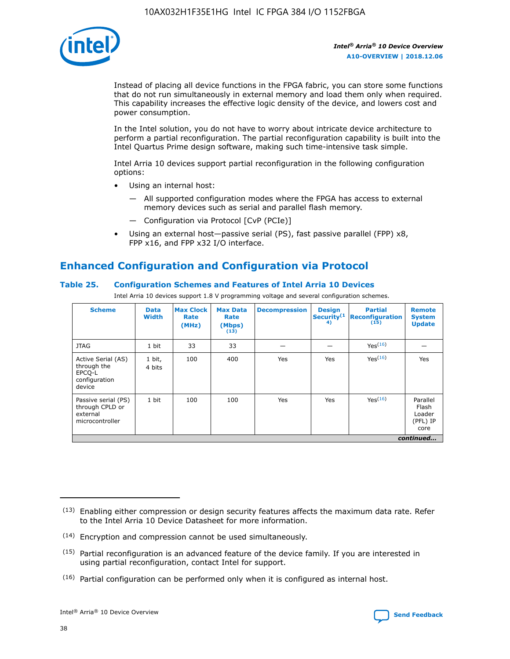![](_page_38_Picture_1.jpeg)

Instead of placing all device functions in the FPGA fabric, you can store some functions that do not run simultaneously in external memory and load them only when required. This capability increases the effective logic density of the device, and lowers cost and power consumption.

In the Intel solution, you do not have to worry about intricate device architecture to perform a partial reconfiguration. The partial reconfiguration capability is built into the Intel Quartus Prime design software, making such time-intensive task simple.

Intel Arria 10 devices support partial reconfiguration in the following configuration options:

- Using an internal host:
	- All supported configuration modes where the FPGA has access to external memory devices such as serial and parallel flash memory.
	- Configuration via Protocol [CvP (PCIe)]
- Using an external host—passive serial (PS), fast passive parallel (FPP) x8, FPP x16, and FPP x32 I/O interface.

# **Enhanced Configuration and Configuration via Protocol**

## **Table 25. Configuration Schemes and Features of Intel Arria 10 Devices**

Intel Arria 10 devices support 1.8 V programming voltage and several configuration schemes.

| <b>Scheme</b>                                                          | <b>Data</b><br><b>Width</b> | <b>Max Clock</b><br>Rate<br>(MHz) | <b>Max Data</b><br>Rate<br>(Mbps)<br>(13) | <b>Decompression</b> | <b>Design</b><br>Security <sup>(1</sup><br>4) | <b>Partial</b><br><b>Reconfiguration</b><br>(15) | <b>Remote</b><br><b>System</b><br><b>Update</b> |
|------------------------------------------------------------------------|-----------------------------|-----------------------------------|-------------------------------------------|----------------------|-----------------------------------------------|--------------------------------------------------|-------------------------------------------------|
| <b>JTAG</b>                                                            | 1 bit                       | 33                                | 33                                        |                      |                                               | Yes(16)                                          |                                                 |
| Active Serial (AS)<br>through the<br>EPCO-L<br>configuration<br>device | 1 bit,<br>4 bits            | 100                               | 400                                       | Yes                  | Yes                                           | $Y_{PS}(16)$                                     | Yes                                             |
| Passive serial (PS)<br>through CPLD or<br>external<br>microcontroller  | 1 bit                       | 100                               | 100                                       | Yes                  | Yes                                           | Yes(16)                                          | Parallel<br>Flash<br>Loader<br>(PFL) IP<br>core |
|                                                                        |                             |                                   |                                           |                      |                                               |                                                  | continued                                       |

<sup>(13)</sup> Enabling either compression or design security features affects the maximum data rate. Refer to the Intel Arria 10 Device Datasheet for more information.

<sup>(14)</sup> Encryption and compression cannot be used simultaneously.

 $(15)$  Partial reconfiguration is an advanced feature of the device family. If you are interested in using partial reconfiguration, contact Intel for support.

 $(16)$  Partial configuration can be performed only when it is configured as internal host.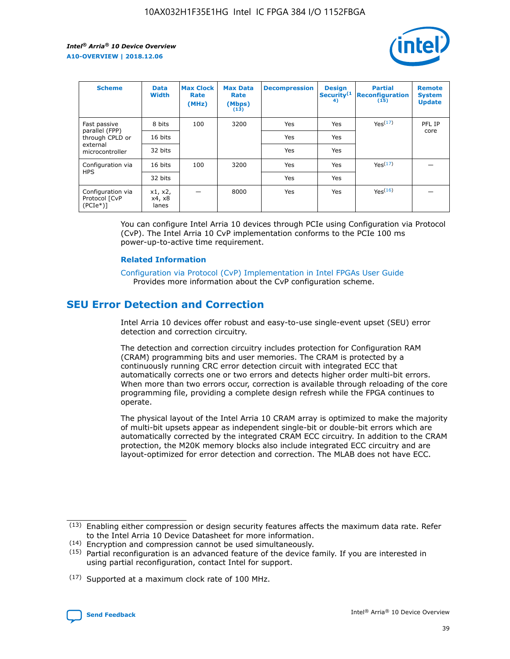![](_page_39_Picture_2.jpeg)

| <b>Scheme</b>                                   | <b>Data</b><br><b>Width</b> | <b>Max Clock</b><br>Rate<br>(MHz) | <b>Max Data</b><br>Rate<br>(Mbps)<br>(13) | <b>Decompression</b> | <b>Design</b><br>Security <sup>(1</sup><br>4) | <b>Partial</b><br><b>Reconfiguration</b><br>(15) | <b>Remote</b><br><b>System</b><br><b>Update</b> |
|-------------------------------------------------|-----------------------------|-----------------------------------|-------------------------------------------|----------------------|-----------------------------------------------|--------------------------------------------------|-------------------------------------------------|
| Fast passive                                    | 8 bits                      | 100                               | 3200                                      | Yes                  | Yes                                           | Yes(17)                                          | PFL IP                                          |
| parallel (FPP)<br>through CPLD or               | 16 bits                     |                                   |                                           | Yes                  | Yes                                           |                                                  | core                                            |
| external<br>microcontroller                     | 32 bits                     |                                   |                                           | Yes                  | Yes                                           |                                                  |                                                 |
| Configuration via                               | 16 bits                     | 100                               | 3200                                      | Yes                  | Yes                                           | Yes <sup>(17)</sup>                              |                                                 |
| <b>HPS</b>                                      | 32 bits                     |                                   |                                           | Yes                  | Yes                                           |                                                  |                                                 |
| Configuration via<br>Protocol [CvP<br>$(PCIe*)$ | x1, x2,<br>x4, x8<br>lanes  |                                   | 8000                                      | Yes                  | Yes                                           | Yes <sup>(16)</sup>                              |                                                 |

You can configure Intel Arria 10 devices through PCIe using Configuration via Protocol (CvP). The Intel Arria 10 CvP implementation conforms to the PCIe 100 ms power-up-to-active time requirement.

#### **Related Information**

[Configuration via Protocol \(CvP\) Implementation in Intel FPGAs User Guide](https://www.intel.com/content/www/us/en/programmable/documentation/dsu1441819344145.html#dsu1442269728522) Provides more information about the CvP configuration scheme.

# **SEU Error Detection and Correction**

Intel Arria 10 devices offer robust and easy-to-use single-event upset (SEU) error detection and correction circuitry.

The detection and correction circuitry includes protection for Configuration RAM (CRAM) programming bits and user memories. The CRAM is protected by a continuously running CRC error detection circuit with integrated ECC that automatically corrects one or two errors and detects higher order multi-bit errors. When more than two errors occur, correction is available through reloading of the core programming file, providing a complete design refresh while the FPGA continues to operate.

The physical layout of the Intel Arria 10 CRAM array is optimized to make the majority of multi-bit upsets appear as independent single-bit or double-bit errors which are automatically corrected by the integrated CRAM ECC circuitry. In addition to the CRAM protection, the M20K memory blocks also include integrated ECC circuitry and are layout-optimized for error detection and correction. The MLAB does not have ECC.

(14) Encryption and compression cannot be used simultaneously.

<sup>(17)</sup> Supported at a maximum clock rate of 100 MHz.

![](_page_39_Picture_15.jpeg)

 $(13)$  Enabling either compression or design security features affects the maximum data rate. Refer to the Intel Arria 10 Device Datasheet for more information.

 $(15)$  Partial reconfiguration is an advanced feature of the device family. If you are interested in using partial reconfiguration, contact Intel for support.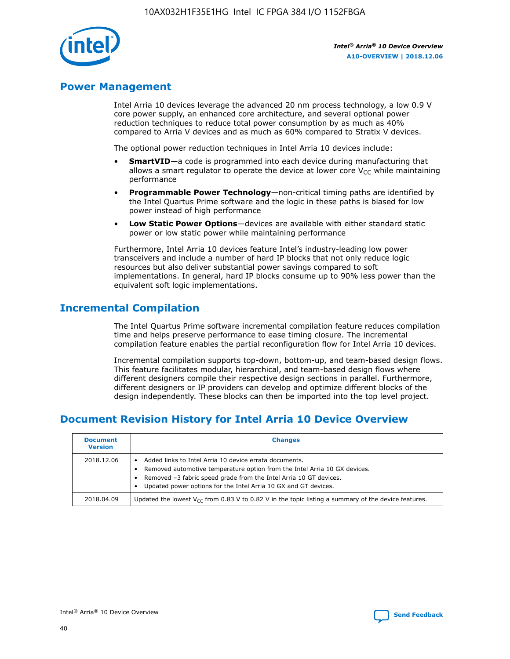![](_page_40_Picture_1.jpeg)

# **Power Management**

Intel Arria 10 devices leverage the advanced 20 nm process technology, a low 0.9 V core power supply, an enhanced core architecture, and several optional power reduction techniques to reduce total power consumption by as much as 40% compared to Arria V devices and as much as 60% compared to Stratix V devices.

The optional power reduction techniques in Intel Arria 10 devices include:

- **SmartVID**—a code is programmed into each device during manufacturing that allows a smart regulator to operate the device at lower core  $V_{CC}$  while maintaining performance
- **Programmable Power Technology**—non-critical timing paths are identified by the Intel Quartus Prime software and the logic in these paths is biased for low power instead of high performance
- **Low Static Power Options**—devices are available with either standard static power or low static power while maintaining performance

Furthermore, Intel Arria 10 devices feature Intel's industry-leading low power transceivers and include a number of hard IP blocks that not only reduce logic resources but also deliver substantial power savings compared to soft implementations. In general, hard IP blocks consume up to 90% less power than the equivalent soft logic implementations.

# **Incremental Compilation**

The Intel Quartus Prime software incremental compilation feature reduces compilation time and helps preserve performance to ease timing closure. The incremental compilation feature enables the partial reconfiguration flow for Intel Arria 10 devices.

Incremental compilation supports top-down, bottom-up, and team-based design flows. This feature facilitates modular, hierarchical, and team-based design flows where different designers compile their respective design sections in parallel. Furthermore, different designers or IP providers can develop and optimize different blocks of the design independently. These blocks can then be imported into the top level project.

# **Document Revision History for Intel Arria 10 Device Overview**

| <b>Document</b><br><b>Version</b> | <b>Changes</b>                                                                                                                                                                                                                                                              |
|-----------------------------------|-----------------------------------------------------------------------------------------------------------------------------------------------------------------------------------------------------------------------------------------------------------------------------|
| 2018.12.06                        | Added links to Intel Arria 10 device errata documents.<br>Removed automotive temperature option from the Intel Arria 10 GX devices.<br>Removed -3 fabric speed grade from the Intel Arria 10 GT devices.<br>Updated power options for the Intel Arria 10 GX and GT devices. |
| 2018.04.09                        | Updated the lowest $V_{CC}$ from 0.83 V to 0.82 V in the topic listing a summary of the device features.                                                                                                                                                                    |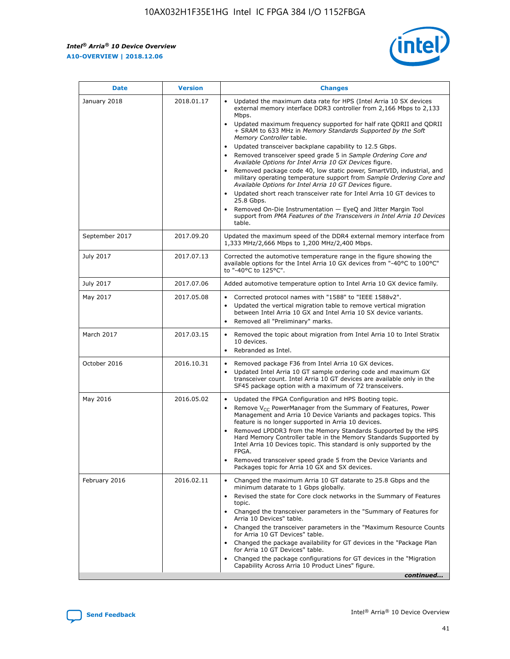![](_page_41_Picture_2.jpeg)

| <b>Date</b>    | <b>Version</b> | <b>Changes</b>                                                                                                                                                                                                                                                                                                                                                                                                                                                                                                                                                                                                                                                                                                                                                                                                                                                                                                                                               |
|----------------|----------------|--------------------------------------------------------------------------------------------------------------------------------------------------------------------------------------------------------------------------------------------------------------------------------------------------------------------------------------------------------------------------------------------------------------------------------------------------------------------------------------------------------------------------------------------------------------------------------------------------------------------------------------------------------------------------------------------------------------------------------------------------------------------------------------------------------------------------------------------------------------------------------------------------------------------------------------------------------------|
| January 2018   | 2018.01.17     | Updated the maximum data rate for HPS (Intel Arria 10 SX devices<br>external memory interface DDR3 controller from 2,166 Mbps to 2,133<br>Mbps.<br>Updated maximum frequency supported for half rate QDRII and QDRII<br>+ SRAM to 633 MHz in Memory Standards Supported by the Soft<br>Memory Controller table.<br>Updated transceiver backplane capability to 12.5 Gbps.<br>Removed transceiver speed grade 5 in Sample Ordering Core and<br>Available Options for Intel Arria 10 GX Devices figure.<br>Removed package code 40, low static power, SmartVID, industrial, and<br>military operating temperature support from Sample Ordering Core and<br>Available Options for Intel Arria 10 GT Devices figure.<br>Updated short reach transceiver rate for Intel Arria 10 GT devices to<br>25.8 Gbps.<br>Removed On-Die Instrumentation - EyeQ and Jitter Margin Tool<br>support from PMA Features of the Transceivers in Intel Arria 10 Devices<br>table. |
| September 2017 | 2017.09.20     | Updated the maximum speed of the DDR4 external memory interface from<br>1,333 MHz/2,666 Mbps to 1,200 MHz/2,400 Mbps.                                                                                                                                                                                                                                                                                                                                                                                                                                                                                                                                                                                                                                                                                                                                                                                                                                        |
| July 2017      | 2017.07.13     | Corrected the automotive temperature range in the figure showing the<br>available options for the Intel Arria 10 GX devices from "-40°C to 100°C"<br>to "-40°C to 125°C".                                                                                                                                                                                                                                                                                                                                                                                                                                                                                                                                                                                                                                                                                                                                                                                    |
| July 2017      | 2017.07.06     | Added automotive temperature option to Intel Arria 10 GX device family.                                                                                                                                                                                                                                                                                                                                                                                                                                                                                                                                                                                                                                                                                                                                                                                                                                                                                      |
| May 2017       | 2017.05.08     | Corrected protocol names with "1588" to "IEEE 1588v2".<br>Updated the vertical migration table to remove vertical migration<br>$\bullet$<br>between Intel Arria 10 GX and Intel Arria 10 SX device variants.<br>Removed all "Preliminary" marks.                                                                                                                                                                                                                                                                                                                                                                                                                                                                                                                                                                                                                                                                                                             |
| March 2017     | 2017.03.15     | Removed the topic about migration from Intel Arria 10 to Intel Stratix<br>10 devices.<br>Rebranded as Intel.<br>$\bullet$                                                                                                                                                                                                                                                                                                                                                                                                                                                                                                                                                                                                                                                                                                                                                                                                                                    |
| October 2016   | 2016.10.31     | Removed package F36 from Intel Arria 10 GX devices.<br>Updated Intel Arria 10 GT sample ordering code and maximum GX<br>$\bullet$<br>transceiver count. Intel Arria 10 GT devices are available only in the<br>SF45 package option with a maximum of 72 transceivers.                                                                                                                                                                                                                                                                                                                                                                                                                                                                                                                                                                                                                                                                                        |
| May 2016       | 2016.05.02     | Updated the FPGA Configuration and HPS Booting topic.<br>$\bullet$<br>Remove V <sub>CC</sub> PowerManager from the Summary of Features, Power<br>Management and Arria 10 Device Variants and packages topics. This<br>feature is no longer supported in Arria 10 devices.<br>Removed LPDDR3 from the Memory Standards Supported by the HPS<br>Hard Memory Controller table in the Memory Standards Supported by<br>Intel Arria 10 Devices topic. This standard is only supported by the<br>FPGA.<br>Removed transceiver speed grade 5 from the Device Variants and<br>Packages topic for Arria 10 GX and SX devices.                                                                                                                                                                                                                                                                                                                                         |
| February 2016  | 2016.02.11     | Changed the maximum Arria 10 GT datarate to 25.8 Gbps and the<br>minimum datarate to 1 Gbps globally.<br>Revised the state for Core clock networks in the Summary of Features<br>topic.<br>Changed the transceiver parameters in the "Summary of Features for<br>Arria 10 Devices" table.<br>Changed the transceiver parameters in the "Maximum Resource Counts"<br>for Arria 10 GT Devices" table.<br>Changed the package availability for GT devices in the "Package Plan<br>for Arria 10 GT Devices" table.<br>Changed the package configurations for GT devices in the "Migration"<br>Capability Across Arria 10 Product Lines" figure.<br>continued                                                                                                                                                                                                                                                                                                     |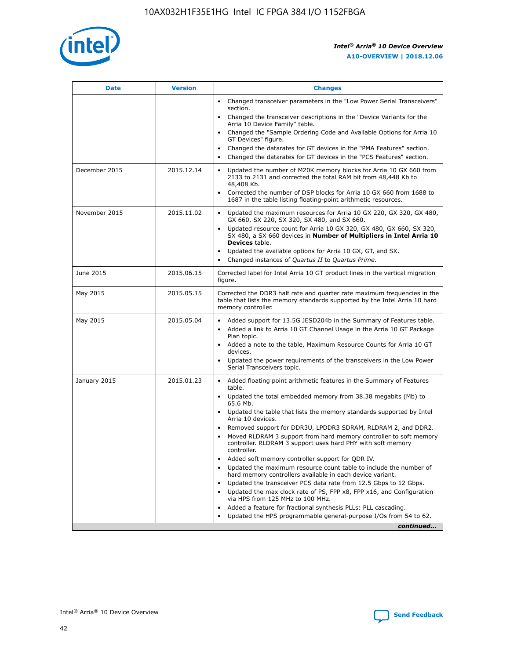![](_page_42_Picture_1.jpeg)

| <b>Date</b>   | <b>Version</b> | <b>Changes</b>                                                                                                                                                               |
|---------------|----------------|------------------------------------------------------------------------------------------------------------------------------------------------------------------------------|
|               |                | • Changed transceiver parameters in the "Low Power Serial Transceivers"<br>section.                                                                                          |
|               |                | • Changed the transceiver descriptions in the "Device Variants for the<br>Arria 10 Device Family" table.                                                                     |
|               |                | Changed the "Sample Ordering Code and Available Options for Arria 10<br>$\bullet$<br>GT Devices" figure.                                                                     |
|               |                | Changed the datarates for GT devices in the "PMA Features" section.                                                                                                          |
|               |                | Changed the datarates for GT devices in the "PCS Features" section.<br>$\bullet$                                                                                             |
| December 2015 | 2015.12.14     | Updated the number of M20K memory blocks for Arria 10 GX 660 from<br>2133 to 2131 and corrected the total RAM bit from 48,448 Kb to<br>48,408 Kb.                            |
|               |                | Corrected the number of DSP blocks for Arria 10 GX 660 from 1688 to<br>1687 in the table listing floating-point arithmetic resources.                                        |
| November 2015 | 2015.11.02     | Updated the maximum resources for Arria 10 GX 220, GX 320, GX 480,<br>$\bullet$<br>GX 660, SX 220, SX 320, SX 480, and SX 660.                                               |
|               |                | • Updated resource count for Arria 10 GX 320, GX 480, GX 660, SX 320,<br>SX 480, a SX 660 devices in Number of Multipliers in Intel Arria 10<br><b>Devices</b> table.        |
|               |                | Updated the available options for Arria 10 GX, GT, and SX.                                                                                                                   |
|               |                | Changed instances of Quartus II to Quartus Prime.<br>$\bullet$                                                                                                               |
| June 2015     | 2015.06.15     | Corrected label for Intel Arria 10 GT product lines in the vertical migration<br>figure.                                                                                     |
| May 2015      | 2015.05.15     | Corrected the DDR3 half rate and quarter rate maximum frequencies in the<br>table that lists the memory standards supported by the Intel Arria 10 hard<br>memory controller. |
| May 2015      | 2015.05.04     | • Added support for 13.5G JESD204b in the Summary of Features table.<br>• Added a link to Arria 10 GT Channel Usage in the Arria 10 GT Package<br>Plan topic.                |
|               |                | • Added a note to the table, Maximum Resource Counts for Arria 10 GT<br>devices.                                                                                             |
|               |                | • Updated the power requirements of the transceivers in the Low Power<br>Serial Transceivers topic.                                                                          |
| January 2015  | 2015.01.23     | • Added floating point arithmetic features in the Summary of Features<br>table.                                                                                              |
|               |                | • Updated the total embedded memory from 38.38 megabits (Mb) to<br>65.6 Mb.                                                                                                  |
|               |                | • Updated the table that lists the memory standards supported by Intel<br>Arria 10 devices.                                                                                  |
|               |                | Removed support for DDR3U, LPDDR3 SDRAM, RLDRAM 2, and DDR2.                                                                                                                 |
|               |                | Moved RLDRAM 3 support from hard memory controller to soft memory<br>controller. RLDRAM 3 support uses hard PHY with soft memory<br>controller.                              |
|               |                | Added soft memory controller support for QDR IV.<br>٠                                                                                                                        |
|               |                | Updated the maximum resource count table to include the number of<br>hard memory controllers available in each device variant.                                               |
|               |                | Updated the transceiver PCS data rate from 12.5 Gbps to 12 Gbps.<br>$\bullet$                                                                                                |
|               |                | Updated the max clock rate of PS, FPP x8, FPP x16, and Configuration<br>via HPS from 125 MHz to 100 MHz.                                                                     |
|               |                | Added a feature for fractional synthesis PLLs: PLL cascading.                                                                                                                |
|               |                | Updated the HPS programmable general-purpose I/Os from 54 to 62.<br>$\bullet$<br>continued                                                                                   |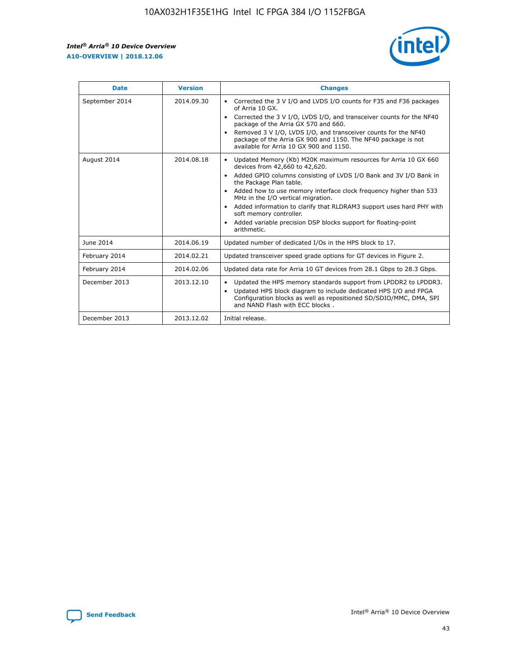r

![](_page_43_Picture_2.jpeg)

| <b>Date</b>    | <b>Version</b> | <b>Changes</b>                                                                                                                                                                                                                                                                                                                                                                                                                                                                                                                                      |
|----------------|----------------|-----------------------------------------------------------------------------------------------------------------------------------------------------------------------------------------------------------------------------------------------------------------------------------------------------------------------------------------------------------------------------------------------------------------------------------------------------------------------------------------------------------------------------------------------------|
| September 2014 | 2014.09.30     | Corrected the 3 V I/O and LVDS I/O counts for F35 and F36 packages<br>$\bullet$<br>of Arria 10 GX.<br>Corrected the 3 V I/O, LVDS I/O, and transceiver counts for the NF40<br>$\bullet$<br>package of the Arria GX 570 and 660.<br>Removed 3 V I/O, LVDS I/O, and transceiver counts for the NF40<br>$\bullet$<br>package of the Arria GX 900 and 1150. The NF40 package is not<br>available for Arria 10 GX 900 and 1150.                                                                                                                          |
| August 2014    | 2014.08.18     | Updated Memory (Kb) M20K maximum resources for Arria 10 GX 660<br>devices from 42,660 to 42,620.<br>Added GPIO columns consisting of LVDS I/O Bank and 3V I/O Bank in<br>$\bullet$<br>the Package Plan table.<br>Added how to use memory interface clock frequency higher than 533<br>$\bullet$<br>MHz in the I/O vertical migration.<br>Added information to clarify that RLDRAM3 support uses hard PHY with<br>$\bullet$<br>soft memory controller.<br>Added variable precision DSP blocks support for floating-point<br>$\bullet$<br>arithmetic. |
| June 2014      | 2014.06.19     | Updated number of dedicated I/Os in the HPS block to 17.                                                                                                                                                                                                                                                                                                                                                                                                                                                                                            |
| February 2014  | 2014.02.21     | Updated transceiver speed grade options for GT devices in Figure 2.                                                                                                                                                                                                                                                                                                                                                                                                                                                                                 |
| February 2014  | 2014.02.06     | Updated data rate for Arria 10 GT devices from 28.1 Gbps to 28.3 Gbps.                                                                                                                                                                                                                                                                                                                                                                                                                                                                              |
| December 2013  | 2013.12.10     | Updated the HPS memory standards support from LPDDR2 to LPDDR3.<br>Updated HPS block diagram to include dedicated HPS I/O and FPGA<br>$\bullet$<br>Configuration blocks as well as repositioned SD/SDIO/MMC, DMA, SPI<br>and NAND Flash with ECC blocks.                                                                                                                                                                                                                                                                                            |
| December 2013  | 2013.12.02     | Initial release.                                                                                                                                                                                                                                                                                                                                                                                                                                                                                                                                    |

![](_page_43_Picture_4.jpeg)